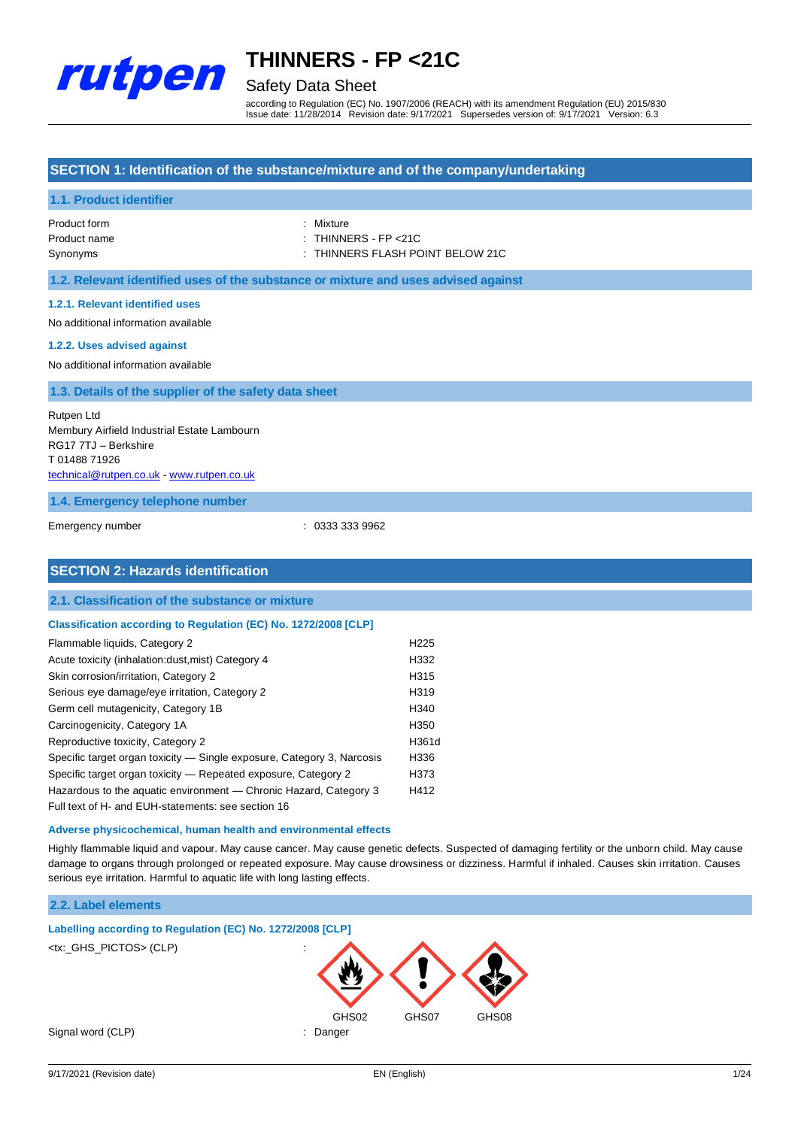

### Safety Data Sheet

according to Regulation (EC) No. 1907/2006 (REACH) with its amendment Regulation (EU) 2015/830 Issue date: 11/28/2014 Revision date: 9/17/2021 Supersedes version of: 9/17/2021 Version: 6.3

#### **SECTION 1: Identification of the substance/mixture and of the company/undertaking**

#### **1.1. Product identifier**

| Product form | : Mixture                        |
|--------------|----------------------------------|
| Product name | : THINNERS - FP <21C             |
| Synonyms     | : THINNERS FLASH POINT BELOW 21C |

**1.2. Relevant identified uses of the substance or mixture and uses advised against**

#### **1.2.1. Relevant identified uses**

No additional information available

#### **1.2.2. Uses advised against**

No additional information available

#### **1.3. Details of the supplier of the safety data sheet**

Rutpen Ltd Membury Airfield Industrial Estate Lambourn RG17 7TJ – Berkshire T 01488 71926 [technical@rutpen.co.uk](mailto:technical@rutpen.co.uk) - [www.rutpen.co.uk](http://www.rutpen.co.uk/)

#### **1.4. Emergency telephone number**

Emergency number : 0333 333 9962

#### **SECTION 2: Hazards identification**

#### **2.1. Classification of the substance or mixture**

#### **Classification according to Regulation (EC) No. 1272/2008 [CLP]**

| Flammable liquids, Category 2                                          | H <sub>225</sub> |
|------------------------------------------------------------------------|------------------|
| Acute toxicity (inhalation:dust, mist) Category 4                      | H332             |
| Skin corrosion/irritation, Category 2                                  | H315             |
| Serious eye damage/eye irritation, Category 2                          | H319             |
| Germ cell mutagenicity, Category 1B                                    | H <sub>340</sub> |
| Carcinogenicity, Category 1A                                           | H350             |
| Reproductive toxicity, Category 2                                      | H361d            |
| Specific target organ toxicity — Single exposure, Category 3, Narcosis | H336             |
| Specific target organ toxicity - Repeated exposure, Category 2         | H373             |
| Hazardous to the aquatic environment - Chronic Hazard, Category 3      | H412             |
| Full text of H- and EUH-statements: see section 16                     |                  |

#### **Adverse physicochemical, human health and environmental effects**

Highly flammable liquid and vapour. May cause cancer. May cause genetic defects. Suspected of damaging fertility or the unborn child. May cause damage to organs through prolonged or repeated exposure. May cause drowsiness or dizziness. Harmful if inhaled. Causes skin irritation. Causes serious eye irritation. Harmful to aquatic life with long lasting effects.

#### **2.2. Label elements**

**Labelling according to Regulation (EC) No. 1272/2008 [CLP]** <tx: GHS\_PICTOS> (CLP) GHS02 GHS07 GHS08 Signal word (CLP)  $\qquad \qquad$ : Danger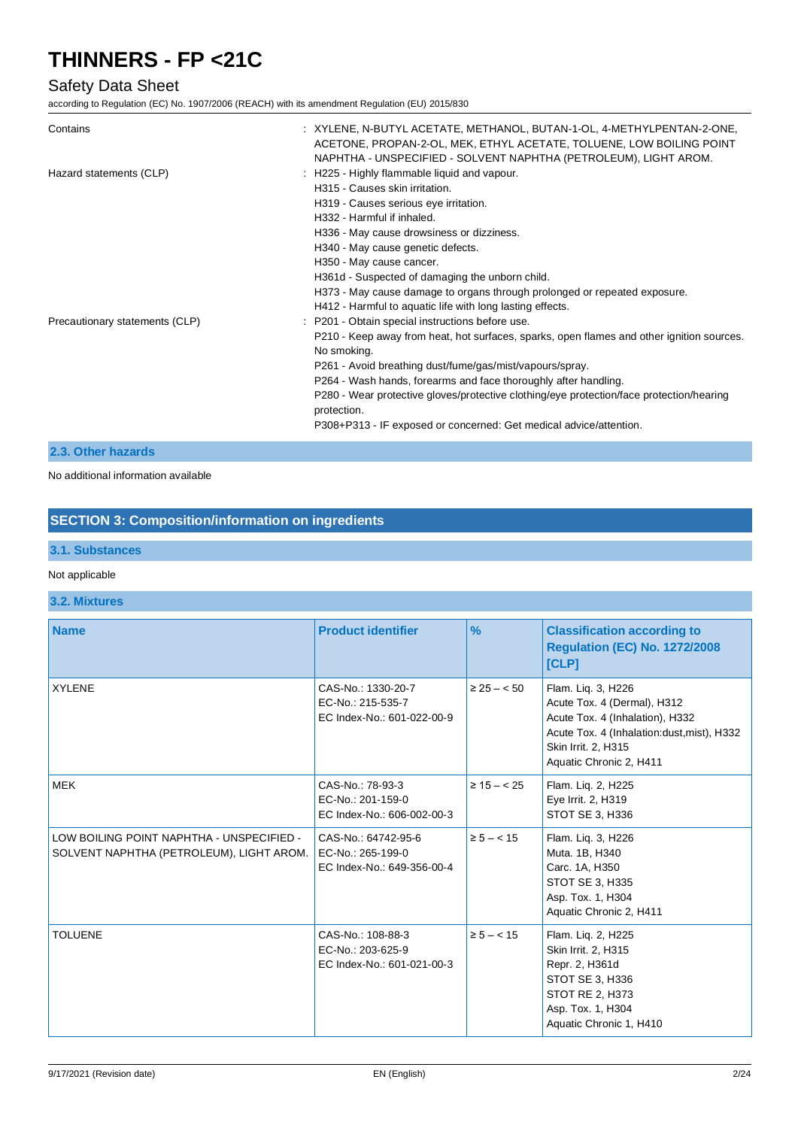### Safety Data Sheet

according to Regulation (EC) No. 1907/2006 (REACH) with its amendment Regulation (EU) 2015/830

| Contains                       | : XYLENE, N-BUTYL ACETATE, METHANOL, BUTAN-1-OL, 4-METHYLPENTAN-2-ONE,<br>ACETONE, PROPAN-2-OL, MEK, ETHYL ACETATE, TOLUENE, LOW BOILING POINT<br>NAPHTHA - UNSPECIFIED - SOLVENT NAPHTHA (PETROLEUM), LIGHT AROM.                                                                                                                                                                                                                                                           |
|--------------------------------|------------------------------------------------------------------------------------------------------------------------------------------------------------------------------------------------------------------------------------------------------------------------------------------------------------------------------------------------------------------------------------------------------------------------------------------------------------------------------|
| Hazard statements (CLP)        | : H225 - Highly flammable liquid and vapour.<br>H315 - Causes skin irritation.<br>H319 - Causes serious eye irritation.<br>H332 - Harmful if inhaled.<br>H336 - May cause drowsiness or dizziness.<br>H340 - May cause genetic defects.<br>H350 - May cause cancer.<br>H361d - Suspected of damaging the unborn child.<br>H373 - May cause damage to organs through prolonged or repeated exposure.<br>H412 - Harmful to aquatic life with long lasting effects.             |
| Precautionary statements (CLP) | : P201 - Obtain special instructions before use.<br>P210 - Keep away from heat, hot surfaces, sparks, open flames and other ignition sources.<br>No smoking.<br>P261 - Avoid breathing dust/fume/gas/mist/vapours/spray.<br>P264 - Wash hands, forearms and face thoroughly after handling.<br>P280 - Wear protective gloves/protective clothing/eye protection/face protection/hearing<br>protection.<br>P308+P313 - IF exposed or concerned: Get medical advice/attention. |

#### **2.3. Other hazards**

No additional information available

### **SECTION 3: Composition/information on ingredients**

### **3.1. Substances**

#### Not applicable

#### **3.2. Mixtures**

| <b>Name</b>                                                                           | <b>Product identifier</b>                                              | $\frac{9}{6}$    | <b>Classification according to</b><br><b>Regulation (EC) No. 1272/2008</b><br>[CLP]                                                                                                  |
|---------------------------------------------------------------------------------------|------------------------------------------------------------------------|------------------|--------------------------------------------------------------------------------------------------------------------------------------------------------------------------------------|
| <b>XYLENE</b>                                                                         | CAS-No.: 1330-20-7<br>EC-No.: 215-535-7<br>EC Index-No.: 601-022-00-9  | $\geq 25 - 50$   | Flam. Lig. 3, H226<br>Acute Tox. 4 (Dermal), H312<br>Acute Tox. 4 (Inhalation), H332<br>Acute Tox. 4 (Inhalation:dust, mist), H332<br>Skin Irrit. 2, H315<br>Aquatic Chronic 2, H411 |
| <b>MEK</b>                                                                            | CAS-No.: 78-93-3<br>EC-No.: 201-159-0<br>EC Index-No.: 606-002-00-3    | $\geq 15 - < 25$ | Flam. Lig. 2, H225<br>Eye Irrit. 2, H319<br>STOT SE 3, H336                                                                                                                          |
| LOW BOILING POINT NAPHTHA - UNSPECIFIED -<br>SOLVENT NAPHTHA (PETROLEUM), LIGHT AROM. | CAS-No.: 64742-95-6<br>EC-No.: 265-199-0<br>EC Index-No.: 649-356-00-4 | $\ge 5 - < 15$   | Flam. Liq. 3, H226<br>Muta. 1B, H340<br>Carc. 1A, H350<br>STOT SE 3, H335<br>Asp. Tox. 1, H304<br>Aquatic Chronic 2, H411                                                            |
| <b>TOLUENE</b>                                                                        | CAS-No.: 108-88-3<br>EC-No.: 203-625-9<br>EC Index-No.: 601-021-00-3   | $\ge 5 - < 15$   | Flam. Lig. 2, H225<br>Skin Irrit. 2, H315<br>Repr. 2, H361d<br>STOT SE 3, H336<br><b>STOT RE 2, H373</b><br>Asp. Tox. 1, H304<br>Aquatic Chronic 1, H410                             |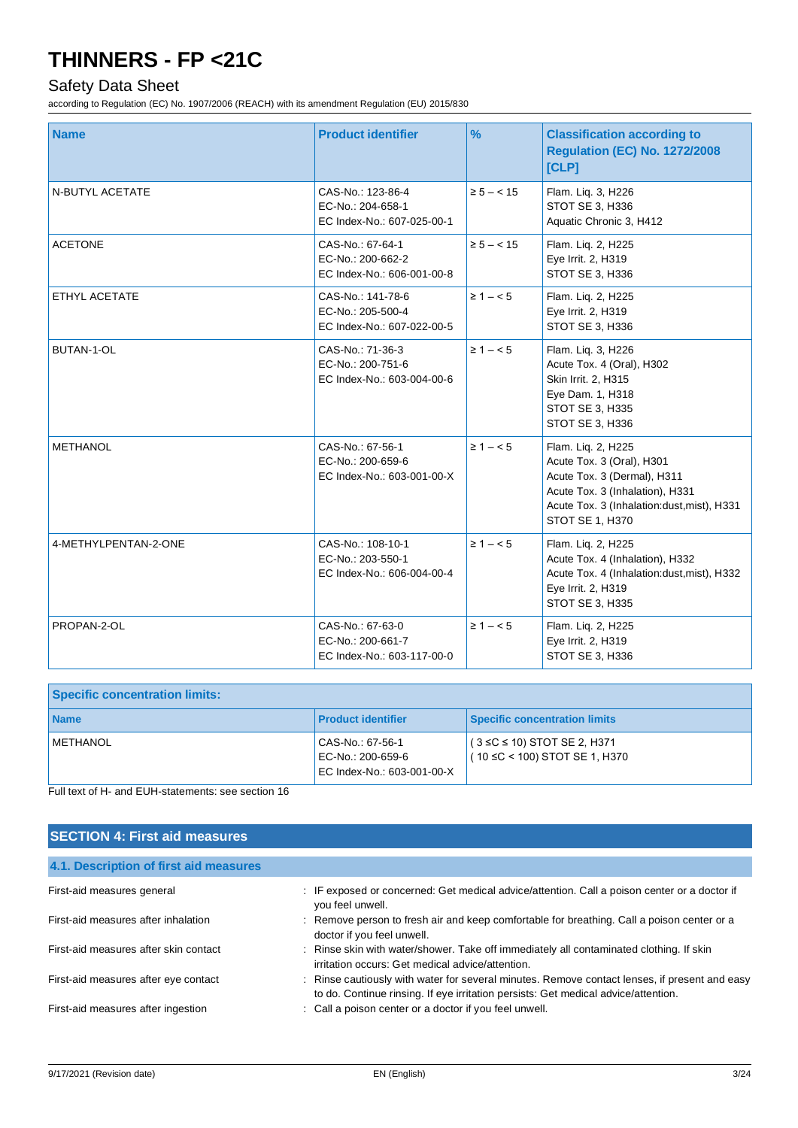### Safety Data Sheet

according to Regulation (EC) No. 1907/2006 (REACH) with its amendment Regulation (EU) 2015/830

| <b>Name</b>          | <b>Product identifier</b>                                            | $\frac{9}{6}$  | <b>Classification according to</b><br><b>Regulation (EC) No. 1272/2008</b><br><b>[CLP]</b>                                                                                                |
|----------------------|----------------------------------------------------------------------|----------------|-------------------------------------------------------------------------------------------------------------------------------------------------------------------------------------------|
| N-BUTYL ACETATE      | CAS-No.: 123-86-4<br>EC-No.: 204-658-1<br>EC Index-No.: 607-025-00-1 | $\ge 5 - < 15$ | Flam. Liq. 3, H226<br>STOT SE 3, H336<br>Aquatic Chronic 3, H412                                                                                                                          |
| <b>ACETONE</b>       | CAS-No.: 67-64-1<br>EC-No.: 200-662-2<br>EC Index-No.: 606-001-00-8  | $\ge 5 - < 15$ | Flam. Lig. 2, H225<br>Eye Irrit. 2, H319<br>STOT SE 3, H336                                                                                                                               |
| ETHYL ACETATE        | CAS-No.: 141-78-6<br>EC-No.: 205-500-4<br>EC Index-No.: 607-022-00-5 | $\geq 1 - 5$   | Flam. Lig. 2, H225<br>Eye Irrit. 2, H319<br><b>STOT SE 3, H336</b>                                                                                                                        |
| <b>BUTAN-1-OL</b>    | CAS-No.: 71-36-3<br>EC-No.: 200-751-6<br>EC Index-No.: 603-004-00-6  | $\geq 1 - 5$   | Flam. Lig. 3, H226<br>Acute Tox. 4 (Oral), H302<br>Skin Irrit. 2, H315<br>Eye Dam. 1, H318<br>STOT SE 3, H335<br><b>STOT SE 3, H336</b>                                                   |
| <b>METHANOL</b>      | CAS-No.: 67-56-1<br>EC-No.: 200-659-6<br>EC Index-No.: 603-001-00-X  | $\geq 1 - 5$   | Flam. Lig. 2, H225<br>Acute Tox. 3 (Oral), H301<br>Acute Tox. 3 (Dermal), H311<br>Acute Tox. 3 (Inhalation), H331<br>Acute Tox. 3 (Inhalation:dust, mist), H331<br><b>STOT SE 1, H370</b> |
| 4-METHYLPENTAN-2-ONE | CAS-No.: 108-10-1<br>EC-No.: 203-550-1<br>EC Index-No.: 606-004-00-4 | $\geq 1 - 5$   | Flam. Lig. 2, H225<br>Acute Tox. 4 (Inhalation), H332<br>Acute Tox. 4 (Inhalation:dust, mist), H332<br>Eye Irrit. 2, H319<br>STOT SE 3, H335                                              |
| PROPAN-2-OL          | CAS-No.: 67-63-0<br>EC-No.: 200-661-7<br>EC Index-No.: 603-117-00-0  | $\geq 1 - 5$   | Flam. Lig. 2, H225<br>Eye Irrit. 2, H319<br><b>STOT SE 3, H336</b>                                                                                                                        |

| <b>Specific concentration limits:</b> |                                                                     |                                                                                |
|---------------------------------------|---------------------------------------------------------------------|--------------------------------------------------------------------------------|
| <b>Name</b>                           | Product identifier                                                  | <b>Specific concentration limits</b>                                           |
| <b>I METHANOL</b>                     | CAS-No.: 67-56-1<br>EC-No.: 200-659-6<br>EC Index-No.: 603-001-00-X | $(3 ≤ C ≤ 10)$ STOT SE 2, H371<br>$\frac{1}{1}$ ( 10 ≤C < 100) STOT SE 1, H370 |

Full text of H- and EUH-statements: see section 16

### **SECTION 4: First aid measures**

**4.1. Description of first aid measures**

| 4. I. Description of thist ald measures |                                                                                                                                                                                     |
|-----------------------------------------|-------------------------------------------------------------------------------------------------------------------------------------------------------------------------------------|
| First-aid measures general              | : IF exposed or concerned: Get medical advice/attention. Call a poison center or a doctor if<br>you feel unwell.                                                                    |
| First-aid measures after inhalation     | : Remove person to fresh air and keep comfortable for breathing. Call a poison center or a<br>doctor if you feel unwell.                                                            |
| First-aid measures after skin contact   | : Rinse skin with water/shower. Take off immediately all contaminated clothing. If skin<br>irritation occurs: Get medical advice/attention.                                         |
| First-aid measures after eye contact    | : Rinse cautiously with water for several minutes. Remove contact lenses, if present and easy<br>to do. Continue rinsing. If eye irritation persists: Get medical advice/attention. |
| First-aid measures after ingestion      | : Call a poison center or a doctor if you feel unwell.                                                                                                                              |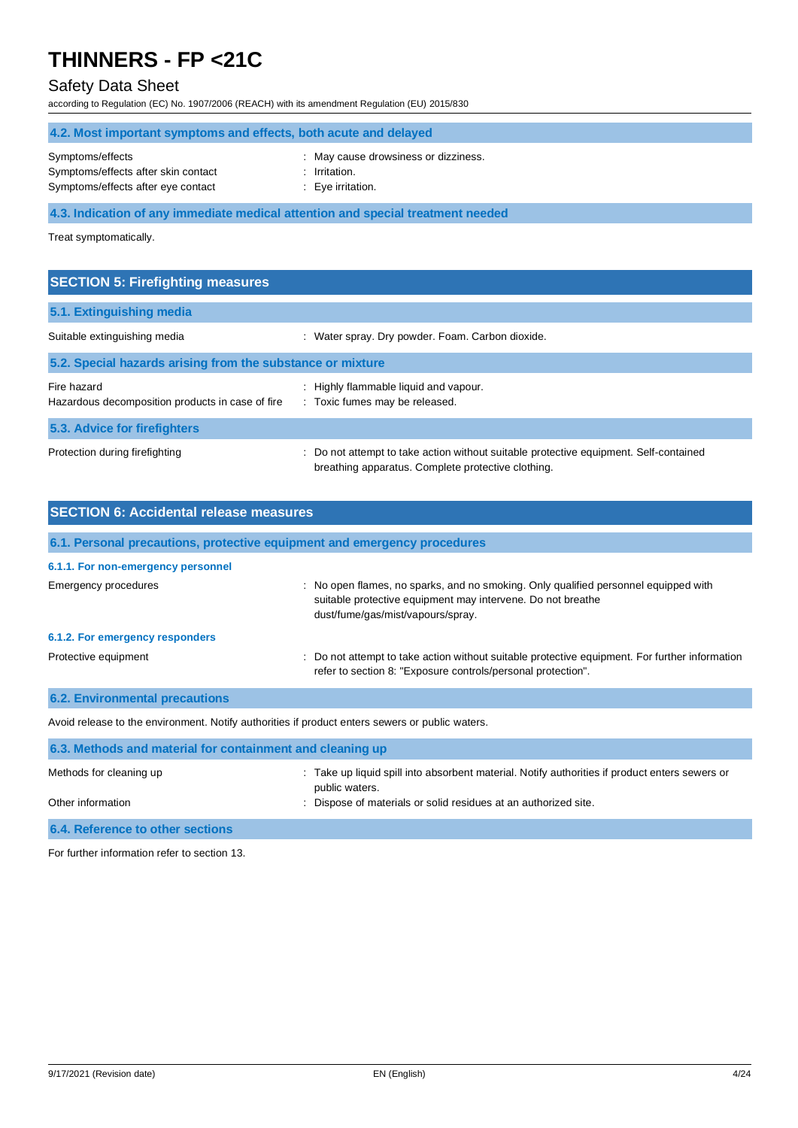### Safety Data Sheet

according to Regulation (EC) No. 1907/2006 (REACH) with its amendment Regulation (EU) 2015/830

| 4.2. Most important symptoms and effects, both acute and delayed                              |                                                                          |  |
|-----------------------------------------------------------------------------------------------|--------------------------------------------------------------------------|--|
| Symptoms/effects<br>Symptoms/effects after skin contact<br>Symptoms/effects after eye contact | : May cause drowsiness or dizziness.<br>Irritation.<br>: Eye irritation. |  |
| 4.3. Indication of any immediate medical attention and special treatment needed               |                                                                          |  |
| Treat symptomatically.                                                                        |                                                                          |  |

| <b>SECTION 5: Firefighting measures</b>                         |                                                                                                                                             |  |  |
|-----------------------------------------------------------------|---------------------------------------------------------------------------------------------------------------------------------------------|--|--|
| 5.1. Extinguishing media                                        |                                                                                                                                             |  |  |
| Suitable extinguishing media                                    | : Water spray. Dry powder. Foam. Carbon dioxide.                                                                                            |  |  |
| 5.2. Special hazards arising from the substance or mixture      |                                                                                                                                             |  |  |
| Fire hazard<br>Hazardous decomposition products in case of fire | : Highly flammable liquid and vapour.<br>: Toxic fumes may be released.                                                                     |  |  |
| 5.3. Advice for firefighters                                    |                                                                                                                                             |  |  |
| Protection during firefighting                                  | : Do not attempt to take action without suitable protective equipment. Self-contained<br>breathing apparatus. Complete protective clothing. |  |  |

| <b>SECTION 6: Accidental release measures</b>                                                   |                                                                                                                                                                                         |  |
|-------------------------------------------------------------------------------------------------|-----------------------------------------------------------------------------------------------------------------------------------------------------------------------------------------|--|
| 6.1. Personal precautions, protective equipment and emergency procedures                        |                                                                                                                                                                                         |  |
| 6.1.1. For non-emergency personnel                                                              |                                                                                                                                                                                         |  |
| Emergency procedures                                                                            | : No open flames, no sparks, and no smoking. Only qualified personnel equipped with<br>suitable protective equipment may intervene. Do not breathe<br>dust/fume/gas/mist/vapours/spray. |  |
| 6.1.2. For emergency responders                                                                 |                                                                                                                                                                                         |  |
| Protective equipment                                                                            | : Do not attempt to take action without suitable protective equipment. For further information<br>refer to section 8: "Exposure controls/personal protection".                          |  |
| <b>6.2. Environmental precautions</b>                                                           |                                                                                                                                                                                         |  |
| Avoid release to the environment. Notify authorities if product enters sewers or public waters. |                                                                                                                                                                                         |  |
| 6.3. Methods and material for containment and cleaning up                                       |                                                                                                                                                                                         |  |
| Methods for cleaning up                                                                         | Take up liquid spill into absorbent material. Notify authorities if product enters sewers or<br>public waters.                                                                          |  |
| Other information                                                                               | Dispose of materials or solid residues at an authorized site.                                                                                                                           |  |

### **6.4. Reference to other sections**

For further information refer to section 13.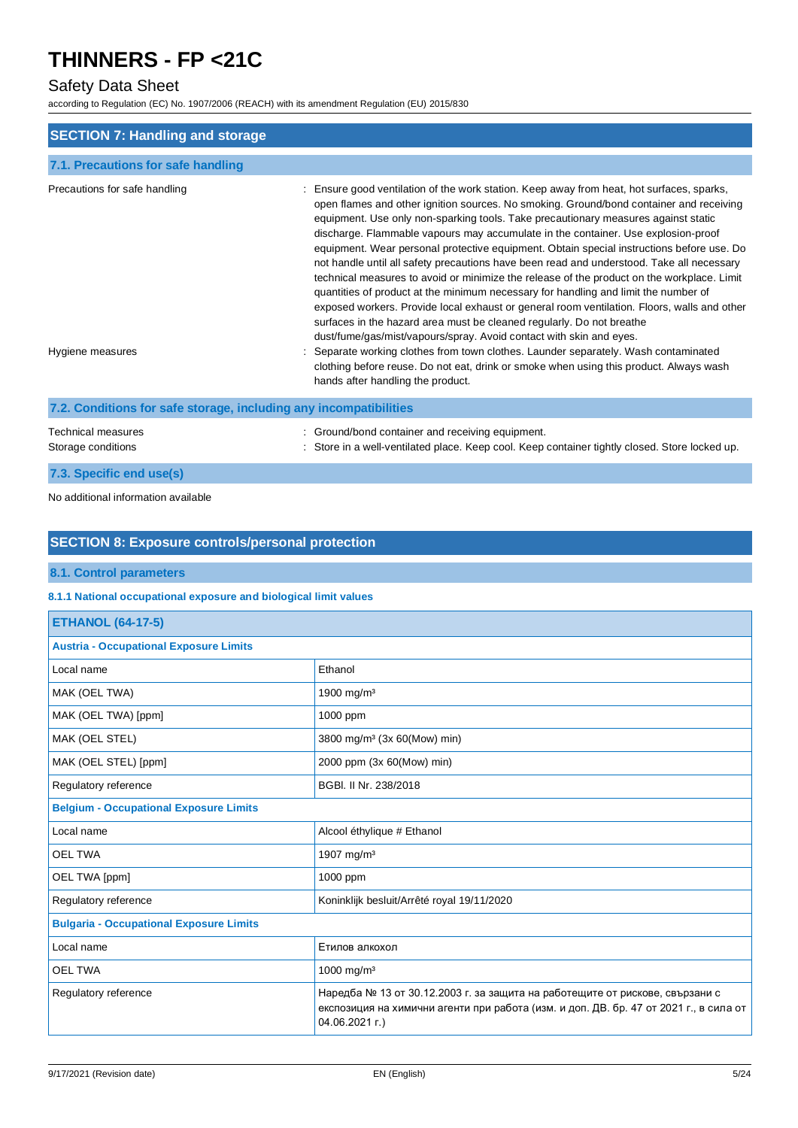### Safety Data Sheet

according to Regulation (EC) No. 1907/2006 (REACH) with its amendment Regulation (EU) 2015/830

| <b>SECTION 7: Handling and storage</b>                            |                                                                                                                                                                                                                                                                                                                                                                                                                                                                                                                                                                                                                                                                                                                                                                                                                                                                                                                                                                                             |  |
|-------------------------------------------------------------------|---------------------------------------------------------------------------------------------------------------------------------------------------------------------------------------------------------------------------------------------------------------------------------------------------------------------------------------------------------------------------------------------------------------------------------------------------------------------------------------------------------------------------------------------------------------------------------------------------------------------------------------------------------------------------------------------------------------------------------------------------------------------------------------------------------------------------------------------------------------------------------------------------------------------------------------------------------------------------------------------|--|
| 7.1. Precautions for safe handling                                |                                                                                                                                                                                                                                                                                                                                                                                                                                                                                                                                                                                                                                                                                                                                                                                                                                                                                                                                                                                             |  |
| Precautions for safe handling                                     | Ensure good ventilation of the work station. Keep away from heat, hot surfaces, sparks,<br>open flames and other ignition sources. No smoking. Ground/bond container and receiving<br>equipment. Use only non-sparking tools. Take precautionary measures against static<br>discharge. Flammable vapours may accumulate in the container. Use explosion-proof<br>equipment. Wear personal protective equipment. Obtain special instructions before use. Do<br>not handle until all safety precautions have been read and understood. Take all necessary<br>technical measures to avoid or minimize the release of the product on the workplace. Limit<br>quantities of product at the minimum necessary for handling and limit the number of<br>exposed workers. Provide local exhaust or general room ventilation. Floors, walls and other<br>surfaces in the hazard area must be cleaned regularly. Do not breathe<br>dust/fume/gas/mist/vapours/spray. Avoid contact with skin and eyes. |  |
| Hygiene measures                                                  | Separate working clothes from town clothes. Launder separately. Wash contaminated<br>clothing before reuse. Do not eat, drink or smoke when using this product. Always wash<br>hands after handling the product.                                                                                                                                                                                                                                                                                                                                                                                                                                                                                                                                                                                                                                                                                                                                                                            |  |
| 7.2. Conditions for safe storage, including any incompatibilities |                                                                                                                                                                                                                                                                                                                                                                                                                                                                                                                                                                                                                                                                                                                                                                                                                                                                                                                                                                                             |  |
| <b>Technical measures</b><br>Storage conditions                   | Ground/bond container and receiving equipment.<br>Store in a well-ventilated place. Keep cool. Keep container tightly closed. Store locked up.                                                                                                                                                                                                                                                                                                                                                                                                                                                                                                                                                                                                                                                                                                                                                                                                                                              |  |

### **7.3. Specific end use(s)**

No additional information available

### **SECTION 8: Exposure controls/personal protection**

### **8.1. Control parameters**

#### **8.1.1 National occupational exposure and biological limit values**

| <b>ETHANOL (64-17-5)</b>                       |                                                                                                                                                                                         |  |
|------------------------------------------------|-----------------------------------------------------------------------------------------------------------------------------------------------------------------------------------------|--|
| <b>Austria - Occupational Exposure Limits</b>  |                                                                                                                                                                                         |  |
| Local name                                     | Ethanol                                                                                                                                                                                 |  |
| MAK (OEL TWA)                                  | 1900 mg/m <sup>3</sup>                                                                                                                                                                  |  |
| MAK (OEL TWA) [ppm]                            | 1000 ppm                                                                                                                                                                                |  |
| MAK (OEL STEL)                                 | 3800 mg/m <sup>3</sup> (3x 60(Mow) min)                                                                                                                                                 |  |
| MAK (OEL STEL) [ppm]                           | 2000 ppm (3x 60(Mow) min)                                                                                                                                                               |  |
| Regulatory reference                           | BGBI. II Nr. 238/2018                                                                                                                                                                   |  |
| <b>Belgium - Occupational Exposure Limits</b>  |                                                                                                                                                                                         |  |
| Local name                                     | Alcool éthylique # Ethanol                                                                                                                                                              |  |
| <b>OEL TWA</b>                                 | 1907 mg/m <sup>3</sup>                                                                                                                                                                  |  |
| OEL TWA [ppm]                                  | 1000 ppm                                                                                                                                                                                |  |
| Regulatory reference                           | Koninklijk besluit/Arrêté royal 19/11/2020                                                                                                                                              |  |
| <b>Bulgaria - Occupational Exposure Limits</b> |                                                                                                                                                                                         |  |
| Local name                                     | Етилов алкохол                                                                                                                                                                          |  |
| <b>OEL TWA</b>                                 | 1000 mg/m <sup>3</sup>                                                                                                                                                                  |  |
| Regulatory reference                           | Наредба № 13 от 30.12.2003 г. за защита на работещите от рискове, свързани с<br>експозиция на химични агенти при работа (изм. и доп. ДВ. бр. 47 от 2021 г., в сила от<br>04.06.2021 г.) |  |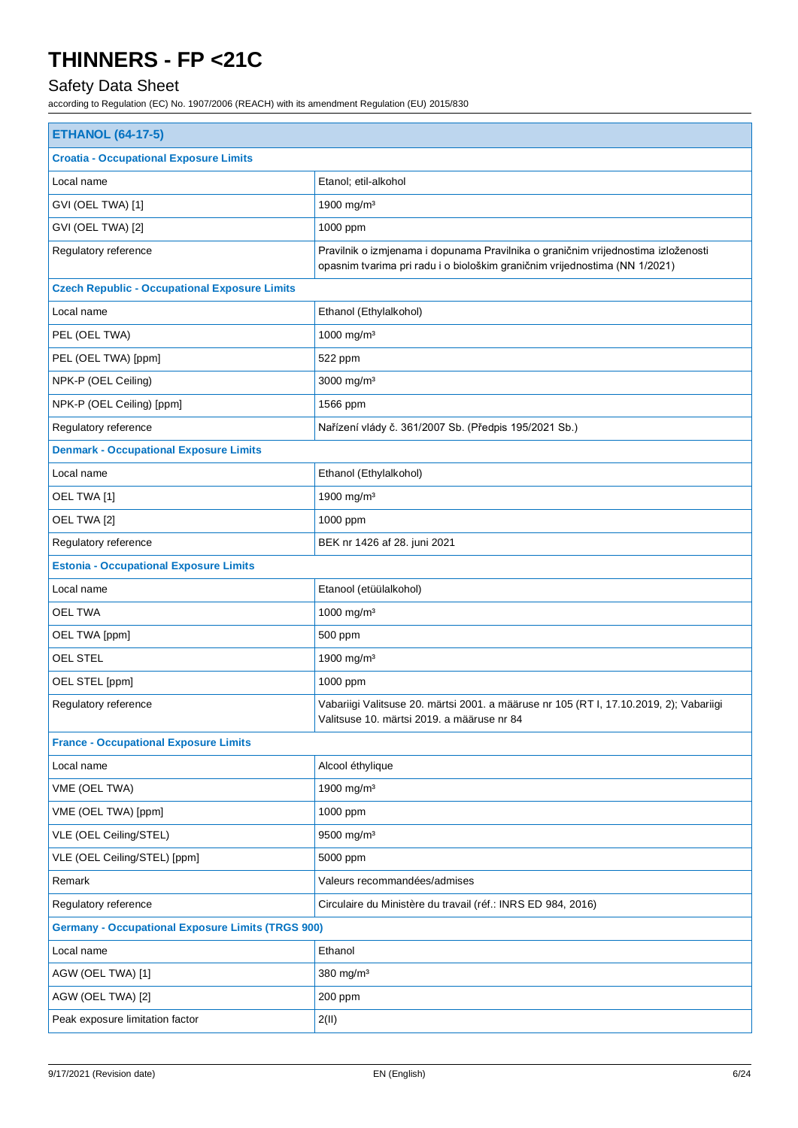## Safety Data Sheet

| <b>ETHANOL (64-17-5)</b>                                 |                                                                                                                                                                 |  |
|----------------------------------------------------------|-----------------------------------------------------------------------------------------------------------------------------------------------------------------|--|
| <b>Croatia - Occupational Exposure Limits</b>            |                                                                                                                                                                 |  |
| Local name                                               | Etanol; etil-alkohol                                                                                                                                            |  |
| GVI (OEL TWA) [1]                                        | 1900 mg/m <sup>3</sup>                                                                                                                                          |  |
| GVI (OEL TWA) [2]                                        | 1000 ppm                                                                                                                                                        |  |
| Regulatory reference                                     | Pravilnik o izmjenama i dopunama Pravilnika o graničnim vrijednostima izloženosti<br>opasnim tvarima pri radu i o biološkim graničnim vrijednostima (NN 1/2021) |  |
| <b>Czech Republic - Occupational Exposure Limits</b>     |                                                                                                                                                                 |  |
| Local name                                               | Ethanol (Ethylalkohol)                                                                                                                                          |  |
| PEL (OEL TWA)                                            | 1000 mg/m <sup>3</sup>                                                                                                                                          |  |
| PEL (OEL TWA) [ppm]                                      | 522 ppm                                                                                                                                                         |  |
| NPK-P (OEL Ceiling)                                      | 3000 mg/m <sup>3</sup>                                                                                                                                          |  |
| NPK-P (OEL Ceiling) [ppm]                                | 1566 ppm                                                                                                                                                        |  |
| Regulatory reference                                     | Nařízení vlády č. 361/2007 Sb. (Předpis 195/2021 Sb.)                                                                                                           |  |
| <b>Denmark - Occupational Exposure Limits</b>            |                                                                                                                                                                 |  |
| Local name                                               | Ethanol (Ethylalkohol)                                                                                                                                          |  |
| OEL TWA [1]                                              | 1900 mg/m <sup>3</sup>                                                                                                                                          |  |
| OEL TWA [2]                                              | 1000 ppm                                                                                                                                                        |  |
| Regulatory reference                                     | BEK nr 1426 af 28. juni 2021                                                                                                                                    |  |
| <b>Estonia - Occupational Exposure Limits</b>            |                                                                                                                                                                 |  |
| Local name                                               | Etanool (etüülalkohol)                                                                                                                                          |  |
| <b>OEL TWA</b>                                           | 1000 mg/m <sup>3</sup>                                                                                                                                          |  |
| OEL TWA [ppm]                                            | 500 ppm                                                                                                                                                         |  |
| <b>OEL STEL</b>                                          | 1900 mg/m <sup>3</sup>                                                                                                                                          |  |
| OEL STEL [ppm]                                           | 1000 ppm                                                                                                                                                        |  |
| Regulatory reference                                     | Vabariigi Valitsuse 20. märtsi 2001. a määruse nr 105 (RT I, 17.10.2019, 2); Vabariigi<br>Valitsuse 10. märtsi 2019. a määruse nr 84                            |  |
| <b>France - Occupational Exposure Limits</b>             |                                                                                                                                                                 |  |
| Local name                                               | Alcool éthylique                                                                                                                                                |  |
| VME (OEL TWA)                                            | 1900 mg/m <sup>3</sup>                                                                                                                                          |  |
| VME (OEL TWA) [ppm]                                      | 1000 ppm                                                                                                                                                        |  |
| VLE (OEL Ceiling/STEL)                                   | 9500 mg/m <sup>3</sup>                                                                                                                                          |  |
| VLE (OEL Ceiling/STEL) [ppm]                             | 5000 ppm                                                                                                                                                        |  |
| Remark                                                   | Valeurs recommandées/admises                                                                                                                                    |  |
| Regulatory reference                                     | Circulaire du Ministère du travail (réf.: INRS ED 984, 2016)                                                                                                    |  |
| <b>Germany - Occupational Exposure Limits (TRGS 900)</b> |                                                                                                                                                                 |  |
| Local name                                               | Ethanol                                                                                                                                                         |  |
| AGW (OEL TWA) [1]                                        | 380 mg/m <sup>3</sup>                                                                                                                                           |  |
| AGW (OEL TWA) [2]                                        | 200 ppm                                                                                                                                                         |  |
| Peak exposure limitation factor                          | 2(II)                                                                                                                                                           |  |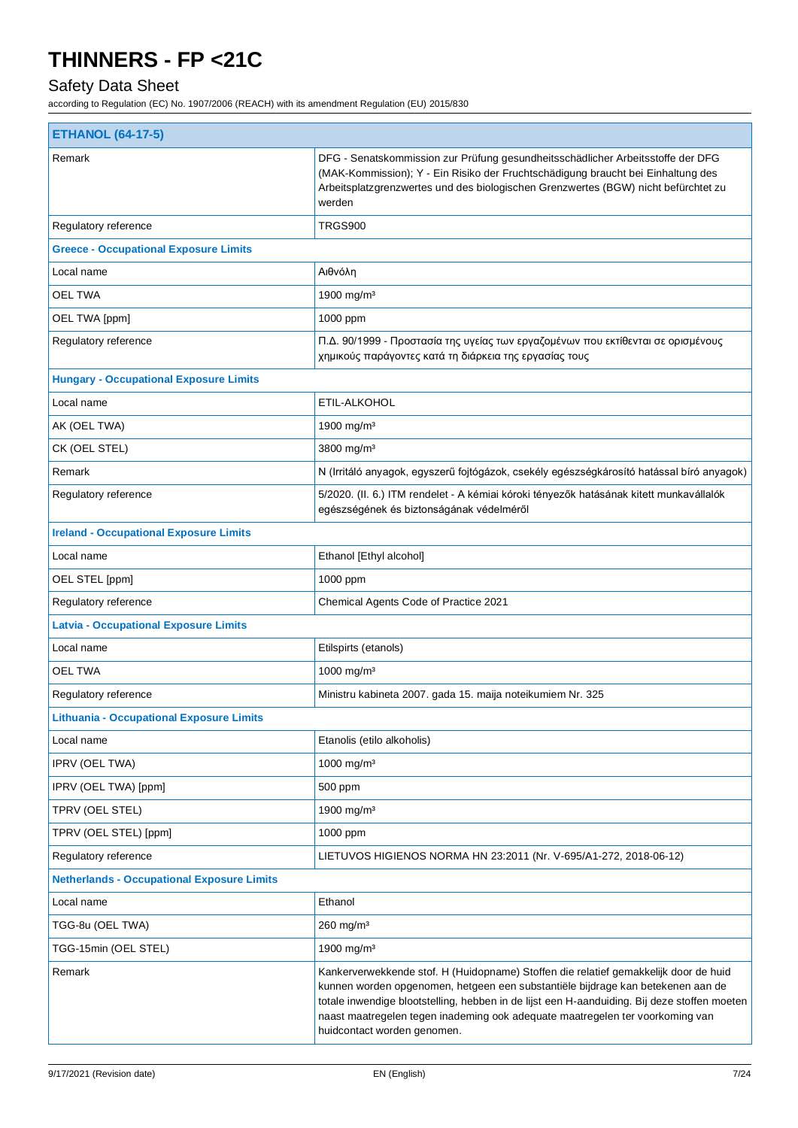## Safety Data Sheet

| <b>ETHANOL (64-17-5)</b>                          |                                                                                                                                                                                                                                                                                                                                                                                         |  |
|---------------------------------------------------|-----------------------------------------------------------------------------------------------------------------------------------------------------------------------------------------------------------------------------------------------------------------------------------------------------------------------------------------------------------------------------------------|--|
| Remark                                            | DFG - Senatskommission zur Prüfung gesundheitsschädlicher Arbeitsstoffe der DFG<br>(MAK-Kommission); Y - Ein Risiko der Fruchtschädigung braucht bei Einhaltung des<br>Arbeitsplatzgrenzwertes und des biologischen Grenzwertes (BGW) nicht befürchtet zu<br>werden                                                                                                                     |  |
| Regulatory reference                              | TRGS900                                                                                                                                                                                                                                                                                                                                                                                 |  |
| <b>Greece - Occupational Exposure Limits</b>      |                                                                                                                                                                                                                                                                                                                                                                                         |  |
| Local name                                        | Αιθνόλη                                                                                                                                                                                                                                                                                                                                                                                 |  |
| <b>OEL TWA</b>                                    | 1900 mg/m <sup>3</sup>                                                                                                                                                                                                                                                                                                                                                                  |  |
| OEL TWA [ppm]                                     | 1000 ppm                                                                                                                                                                                                                                                                                                                                                                                |  |
| Regulatory reference                              | Π.Δ. 90/1999 - Προστασία της υγείας των εργαζομένων που εκτίθενται σε ορισμένους<br>χημικούς παράγοντες κατά τη διάρκεια της εργασίας τους                                                                                                                                                                                                                                              |  |
| <b>Hungary - Occupational Exposure Limits</b>     |                                                                                                                                                                                                                                                                                                                                                                                         |  |
| Local name                                        | ETIL-ALKOHOL                                                                                                                                                                                                                                                                                                                                                                            |  |
| AK (OEL TWA)                                      | 1900 mg/m <sup>3</sup>                                                                                                                                                                                                                                                                                                                                                                  |  |
| CK (OEL STEL)                                     | 3800 mg/m <sup>3</sup>                                                                                                                                                                                                                                                                                                                                                                  |  |
| Remark                                            | N (Irritáló anyagok, egyszerű fojtógázok, csekély egészségkárosító hatással bíró anyagok)                                                                                                                                                                                                                                                                                               |  |
| Regulatory reference                              | 5/2020. (II. 6.) ITM rendelet - A kémiai kóroki tényezők hatásának kitett munkavállalók<br>egészségének és biztonságának védelméről                                                                                                                                                                                                                                                     |  |
| <b>Ireland - Occupational Exposure Limits</b>     |                                                                                                                                                                                                                                                                                                                                                                                         |  |
| Local name                                        | Ethanol [Ethyl alcohol]                                                                                                                                                                                                                                                                                                                                                                 |  |
| OEL STEL [ppm]                                    | 1000 ppm                                                                                                                                                                                                                                                                                                                                                                                |  |
| Regulatory reference                              | Chemical Agents Code of Practice 2021                                                                                                                                                                                                                                                                                                                                                   |  |
| <b>Latvia - Occupational Exposure Limits</b>      |                                                                                                                                                                                                                                                                                                                                                                                         |  |
| Local name                                        | Etilspirts (etanols)                                                                                                                                                                                                                                                                                                                                                                    |  |
| <b>OEL TWA</b>                                    | 1000 mg/m <sup>3</sup>                                                                                                                                                                                                                                                                                                                                                                  |  |
| Regulatory reference                              | Ministru kabineta 2007. gada 15. maija noteikumiem Nr. 325                                                                                                                                                                                                                                                                                                                              |  |
| <b>Lithuania - Occupational Exposure Limits</b>   |                                                                                                                                                                                                                                                                                                                                                                                         |  |
| Local name                                        | Etanolis (etilo alkoholis)                                                                                                                                                                                                                                                                                                                                                              |  |
| <b>IPRV (OEL TWA)</b>                             | 1000 mg/m <sup>3</sup>                                                                                                                                                                                                                                                                                                                                                                  |  |
| IPRV (OEL TWA) [ppm]                              | 500 ppm                                                                                                                                                                                                                                                                                                                                                                                 |  |
| TPRV (OEL STEL)                                   | 1900 mg/m <sup>3</sup>                                                                                                                                                                                                                                                                                                                                                                  |  |
| TPRV (OEL STEL) [ppm]                             | 1000 ppm                                                                                                                                                                                                                                                                                                                                                                                |  |
| Regulatory reference                              | LIETUVOS HIGIENOS NORMA HN 23:2011 (Nr. V-695/A1-272, 2018-06-12)                                                                                                                                                                                                                                                                                                                       |  |
| <b>Netherlands - Occupational Exposure Limits</b> |                                                                                                                                                                                                                                                                                                                                                                                         |  |
| Local name                                        | Ethanol                                                                                                                                                                                                                                                                                                                                                                                 |  |
| TGG-8u (OEL TWA)                                  | $260$ mg/m <sup>3</sup>                                                                                                                                                                                                                                                                                                                                                                 |  |
| TGG-15min (OEL STEL)                              | 1900 mg/m <sup>3</sup>                                                                                                                                                                                                                                                                                                                                                                  |  |
| Remark                                            | Kankerverwekkende stof. H (Huidopname) Stoffen die relatief gemakkelijk door de huid<br>kunnen worden opgenomen, hetgeen een substantiële bijdrage kan betekenen aan de<br>totale inwendige blootstelling, hebben in de lijst een H-aanduiding. Bij deze stoffen moeten<br>naast maatregelen tegen inademing ook adequate maatregelen ter voorkoming van<br>huidcontact worden genomen. |  |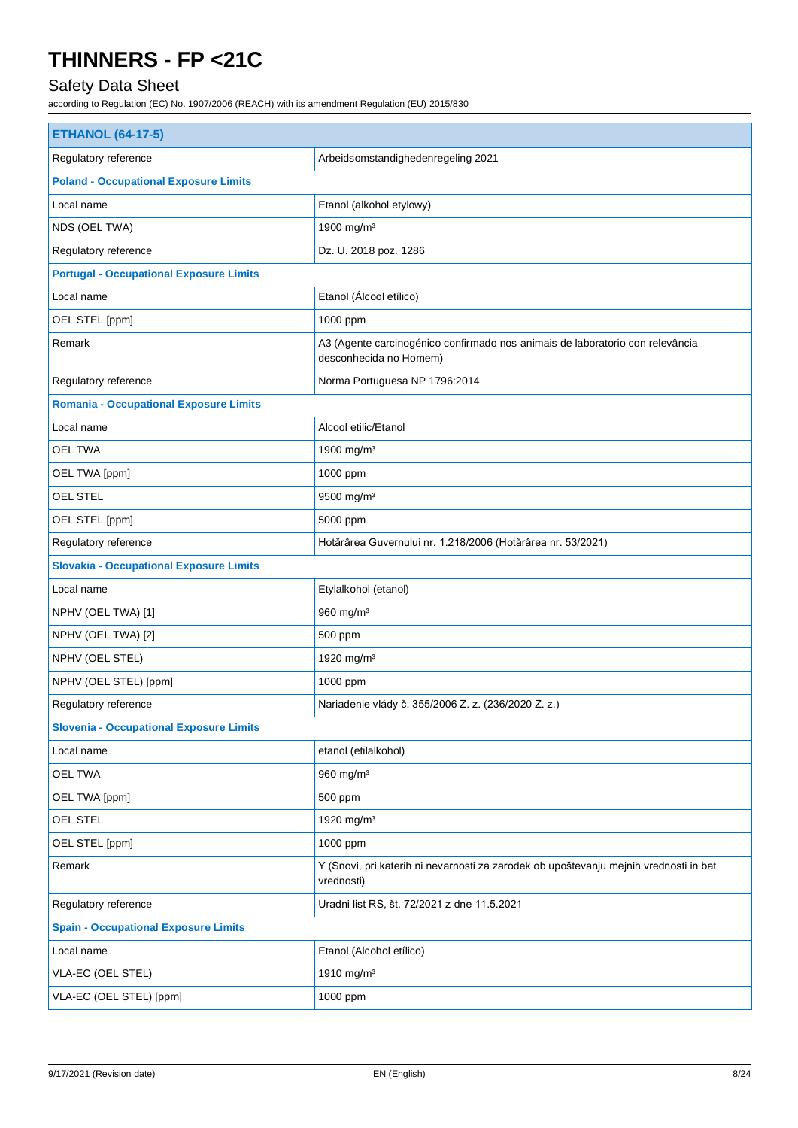## Safety Data Sheet

| <b>ETHANOL (64-17-5)</b>                       |                                                                                                         |  |  |
|------------------------------------------------|---------------------------------------------------------------------------------------------------------|--|--|
| Regulatory reference                           | Arbeidsomstandighedenregeling 2021                                                                      |  |  |
| <b>Poland - Occupational Exposure Limits</b>   |                                                                                                         |  |  |
| Local name                                     | Etanol (alkohol etylowy)                                                                                |  |  |
| NDS (OEL TWA)                                  | 1900 mg/m <sup>3</sup>                                                                                  |  |  |
| Regulatory reference                           | Dz. U. 2018 poz. 1286                                                                                   |  |  |
| <b>Portugal - Occupational Exposure Limits</b> |                                                                                                         |  |  |
| Local name                                     | Etanol (Álcool etílico)                                                                                 |  |  |
| OEL STEL [ppm]                                 | 1000 ppm                                                                                                |  |  |
| Remark                                         | A3 (Agente carcinogénico confirmado nos animais de laboratorio con relevância<br>desconhecida no Homem) |  |  |
| Regulatory reference                           | Norma Portuguesa NP 1796:2014                                                                           |  |  |
| <b>Romania - Occupational Exposure Limits</b>  |                                                                                                         |  |  |
| Local name                                     | Alcool etilic/Etanol                                                                                    |  |  |
| <b>OEL TWA</b>                                 | 1900 mg/m <sup>3</sup>                                                                                  |  |  |
| OEL TWA [ppm]                                  | 1000 ppm                                                                                                |  |  |
| OEL STEL                                       | 9500 mg/m <sup>3</sup>                                                                                  |  |  |
| OEL STEL [ppm]                                 | 5000 ppm                                                                                                |  |  |
| Regulatory reference                           | Hotărârea Guvernului nr. 1.218/2006 (Hotărârea nr. 53/2021)                                             |  |  |
| <b>Slovakia - Occupational Exposure Limits</b> |                                                                                                         |  |  |
| Local name                                     | Etylalkohol (etanol)                                                                                    |  |  |
| NPHV (OEL TWA) [1]                             | 960 mg/m <sup>3</sup>                                                                                   |  |  |
| NPHV (OEL TWA) [2]                             | 500 ppm                                                                                                 |  |  |
| NPHV (OEL STEL)                                | 1920 mg/m <sup>3</sup>                                                                                  |  |  |
| NPHV (OEL STEL) [ppm]                          | 1000 ppm                                                                                                |  |  |
| Regulatory reference                           | Nariadenie vlády č. 355/2006 Z. z. (236/2020 Z. z.)                                                     |  |  |
| <b>Slovenia - Occupational Exposure Limits</b> |                                                                                                         |  |  |
| Local name                                     | etanol (etilalkohol)                                                                                    |  |  |
| OEL TWA                                        | 960 mg/m <sup>3</sup>                                                                                   |  |  |
| OEL TWA [ppm]                                  | 500 ppm                                                                                                 |  |  |
| <b>OEL STEL</b>                                | 1920 mg/m <sup>3</sup>                                                                                  |  |  |
| OEL STEL [ppm]                                 | 1000 ppm                                                                                                |  |  |
| Remark                                         | Y (Snovi, pri katerih ni nevarnosti za zarodek ob upoštevanju mejnih vrednosti in bat<br>vrednosti)     |  |  |
| Regulatory reference                           | Uradni list RS, št. 72/2021 z dne 11.5.2021                                                             |  |  |
| <b>Spain - Occupational Exposure Limits</b>    |                                                                                                         |  |  |
| Local name                                     | Etanol (Alcohol etílico)                                                                                |  |  |
| VLA-EC (OEL STEL)                              | 1910 mg/m <sup>3</sup>                                                                                  |  |  |
| VLA-EC (OEL STEL) [ppm]                        | 1000 ppm                                                                                                |  |  |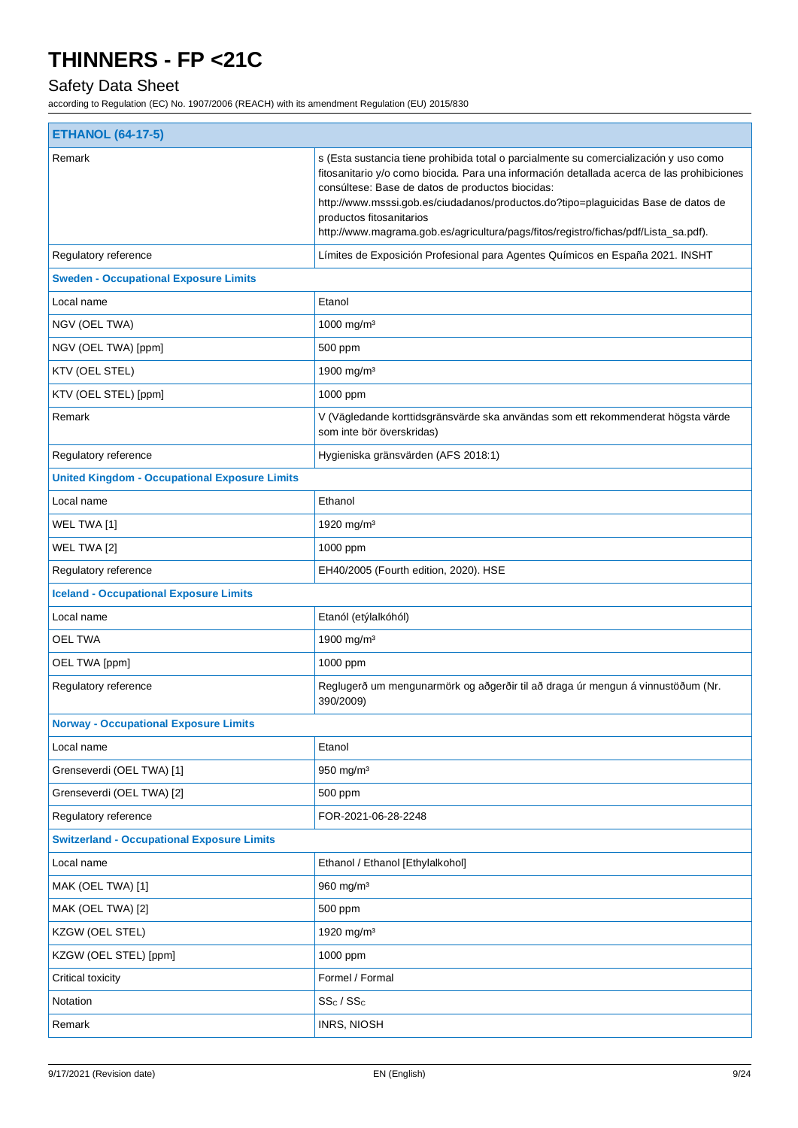## Safety Data Sheet

| <b>ETHANOL (64-17-5)</b>                             |                                                                                                                                                                                                                                                                                                                                                                                                                                                 |  |
|------------------------------------------------------|-------------------------------------------------------------------------------------------------------------------------------------------------------------------------------------------------------------------------------------------------------------------------------------------------------------------------------------------------------------------------------------------------------------------------------------------------|--|
| Remark                                               | s (Esta sustancia tiene prohibida total o parcialmente su comercialización y uso como<br>fitosanitario y/o como biocida. Para una información detallada acerca de las prohibiciones<br>consúltese: Base de datos de productos biocidas:<br>http://www.msssi.gob.es/ciudadanos/productos.do?tipo=plaguicidas Base de datos de<br>productos fitosanitarios<br>http://www.magrama.gob.es/agricultura/pags/fitos/registro/fichas/pdf/Lista_sa.pdf). |  |
| Regulatory reference                                 | Límites de Exposición Profesional para Agentes Químicos en España 2021. INSHT                                                                                                                                                                                                                                                                                                                                                                   |  |
| <b>Sweden - Occupational Exposure Limits</b>         |                                                                                                                                                                                                                                                                                                                                                                                                                                                 |  |
| Local name                                           | Etanol                                                                                                                                                                                                                                                                                                                                                                                                                                          |  |
| NGV (OEL TWA)                                        | 1000 mg/m <sup>3</sup>                                                                                                                                                                                                                                                                                                                                                                                                                          |  |
| NGV (OEL TWA) [ppm]                                  | 500 ppm                                                                                                                                                                                                                                                                                                                                                                                                                                         |  |
| KTV (OEL STEL)                                       | 1900 mg/m <sup>3</sup>                                                                                                                                                                                                                                                                                                                                                                                                                          |  |
| KTV (OEL STEL) [ppm]                                 | 1000 ppm                                                                                                                                                                                                                                                                                                                                                                                                                                        |  |
| Remark                                               | V (Vägledande korttidsgränsvärde ska användas som ett rekommenderat högsta värde<br>som inte bör överskridas)                                                                                                                                                                                                                                                                                                                                   |  |
| Regulatory reference                                 | Hygieniska gränsvärden (AFS 2018:1)                                                                                                                                                                                                                                                                                                                                                                                                             |  |
| <b>United Kingdom - Occupational Exposure Limits</b> |                                                                                                                                                                                                                                                                                                                                                                                                                                                 |  |
| Local name                                           | Ethanol                                                                                                                                                                                                                                                                                                                                                                                                                                         |  |
| WEL TWA [1]                                          | 1920 mg/m <sup>3</sup>                                                                                                                                                                                                                                                                                                                                                                                                                          |  |
| WEL TWA [2]                                          | 1000 ppm                                                                                                                                                                                                                                                                                                                                                                                                                                        |  |
| Regulatory reference                                 | EH40/2005 (Fourth edition, 2020). HSE                                                                                                                                                                                                                                                                                                                                                                                                           |  |
| <b>Iceland - Occupational Exposure Limits</b>        |                                                                                                                                                                                                                                                                                                                                                                                                                                                 |  |
| Local name                                           | Etanól (etýlalkóhól)                                                                                                                                                                                                                                                                                                                                                                                                                            |  |
| <b>OEL TWA</b>                                       | 1900 mg/m <sup>3</sup>                                                                                                                                                                                                                                                                                                                                                                                                                          |  |
| OEL TWA [ppm]                                        | 1000 ppm                                                                                                                                                                                                                                                                                                                                                                                                                                        |  |
| Regulatory reference                                 | Reglugerð um mengunarmörk og aðgerðir til að draga úr mengun á vinnustöðum (Nr.<br>390/2009)                                                                                                                                                                                                                                                                                                                                                    |  |
| <b>Norway - Occupational Exposure Limits</b>         |                                                                                                                                                                                                                                                                                                                                                                                                                                                 |  |
| Local name                                           | Etanol                                                                                                                                                                                                                                                                                                                                                                                                                                          |  |
| Grenseverdi (OEL TWA) [1]                            | $950$ mg/m <sup>3</sup>                                                                                                                                                                                                                                                                                                                                                                                                                         |  |
| Grenseverdi (OEL TWA) [2]                            | 500 ppm                                                                                                                                                                                                                                                                                                                                                                                                                                         |  |
| Regulatory reference                                 | FOR-2021-06-28-2248                                                                                                                                                                                                                                                                                                                                                                                                                             |  |
| <b>Switzerland - Occupational Exposure Limits</b>    |                                                                                                                                                                                                                                                                                                                                                                                                                                                 |  |
| Local name                                           | Ethanol / Ethanol [Ethylalkohol]                                                                                                                                                                                                                                                                                                                                                                                                                |  |
| MAK (OEL TWA) [1]                                    | 960 mg/m <sup>3</sup>                                                                                                                                                                                                                                                                                                                                                                                                                           |  |
| MAK (OEL TWA) [2]                                    | 500 ppm                                                                                                                                                                                                                                                                                                                                                                                                                                         |  |
| KZGW (OEL STEL)                                      | 1920 mg/m <sup>3</sup>                                                                                                                                                                                                                                                                                                                                                                                                                          |  |
| KZGW (OEL STEL) [ppm]                                | 1000 ppm                                                                                                                                                                                                                                                                                                                                                                                                                                        |  |
| Critical toxicity                                    | Formel / Formal                                                                                                                                                                                                                                                                                                                                                                                                                                 |  |
| Notation                                             | $SS_C / SS_C$                                                                                                                                                                                                                                                                                                                                                                                                                                   |  |
| Remark                                               | <b>INRS, NIOSH</b>                                                                                                                                                                                                                                                                                                                                                                                                                              |  |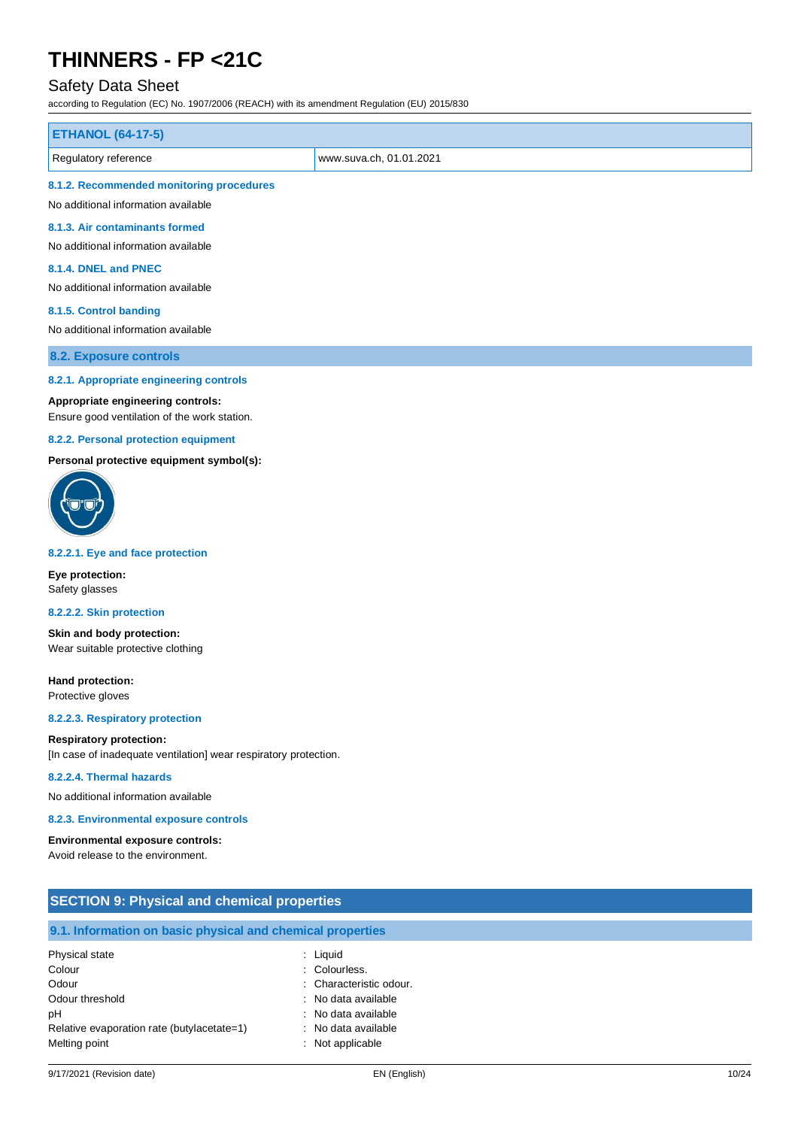### Safety Data Sheet

according to Regulation (EC) No. 1907/2006 (REACH) with its amendment Regulation (EU) 2015/830

| <b>ETHANOL (64-17-5)</b>                        |  |
|-------------------------------------------------|--|
| www.suva.ch, 01.01.2021<br>Regulatory reference |  |
| 8.1.2. Recommended monitoring procedures        |  |
| No additional information available             |  |

**8.1.3. Air contaminants formed**

No additional information available

#### **8.1.4. DNEL and PNEC**

No additional information available

#### **8.1.5. Control banding**

No additional information available

**8.2. Exposure controls**

#### **8.2.1. Appropriate engineering controls**

#### **Appropriate engineering controls:**

Ensure good ventilation of the work station.

#### **8.2.2. Personal protection equipment**

**Personal protective equipment symbol(s):**



#### **8.2.2.1. Eye and face protection**

**Eye protection:** Safety glasses

#### **8.2.2.2. Skin protection**

**Skin and body protection:** Wear suitable protective clothing

**Hand protection:** Protective gloves

**8.2.2.3. Respiratory protection**

#### **Respiratory protection:**

[In case of inadequate ventilation] wear respiratory protection.

#### **8.2.2.4. Thermal hazards**

No additional information available

#### **8.2.3. Environmental exposure controls**

**Environmental exposure controls:** Avoid release to the environment.

| <b>SECTION 9: Physical and chemical properties</b>         |                         |  |
|------------------------------------------------------------|-------------------------|--|
| 9.1. Information on basic physical and chemical properties |                         |  |
| Physical state                                             | : Liquid                |  |
| Colour                                                     | : Colourless.           |  |
| Odour                                                      | : Characteristic odour. |  |
| Odour threshold                                            | : No data available     |  |
| рH                                                         | No data available<br>۰. |  |
| Relative evaporation rate (butylacetate=1)                 | No data available<br>÷  |  |
| Melting point                                              | Not applicable<br>÷     |  |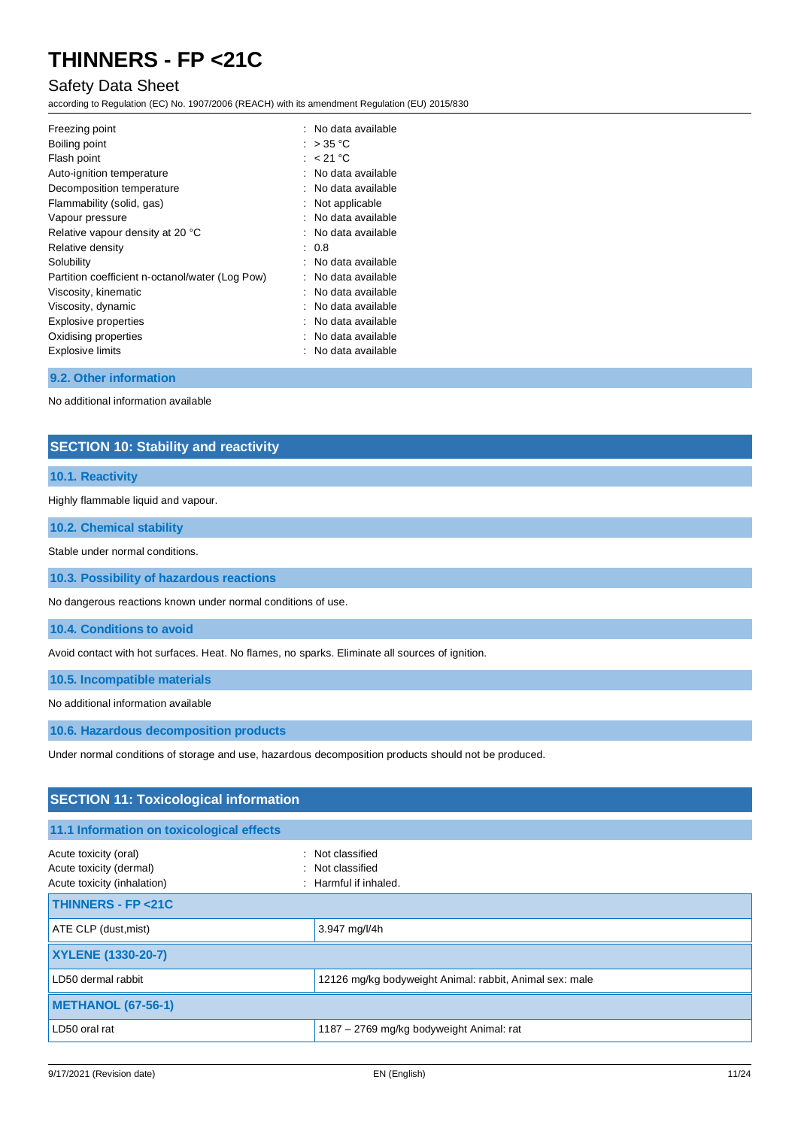### Safety Data Sheet

according to Regulation (EC) No. 1907/2006 (REACH) with its amendment Regulation (EU) 2015/830

| Freezing point<br>Boiling point                 | No data available<br>: $>35^{\circ}$ C |
|-------------------------------------------------|----------------------------------------|
| Flash point                                     | : $< 21 °C$                            |
| Auto-ignition temperature                       | No data available                      |
| Decomposition temperature                       | No data available                      |
| Flammability (solid, gas)                       | Not applicable                         |
| Vapour pressure                                 | No data available                      |
| Relative vapour density at 20 °C                | No data available                      |
| Relative density                                | : 0.8                                  |
| Solubility                                      | No data available                      |
| Partition coefficient n-octanol/water (Log Pow) | No data available                      |
| Viscosity, kinematic                            | No data available                      |
| Viscosity, dynamic                              | : No data available                    |
| Explosive properties                            | No data available                      |
| Oxidising properties                            | No data available                      |
| <b>Explosive limits</b>                         | No data available                      |
|                                                 |                                        |

#### **9.2. Other information**

No additional information available

### **SECTION 10: Stability and reactivity**

#### **10.1. Reactivity**

Highly flammable liquid and vapour.

**10.2. Chemical stability**

Stable under normal conditions.

**10.3. Possibility of hazardous reactions**

No dangerous reactions known under normal conditions of use.

**10.4. Conditions to avoid**

Avoid contact with hot surfaces. Heat. No flames, no sparks. Eliminate all sources of ignition.

**10.5. Incompatible materials**

No additional information available

**10.6. Hazardous decomposition products**

Under normal conditions of storage and use, hazardous decomposition products should not be produced.

| <b>SECTION 11: Toxicological information</b>                                    |                                                                 |  |
|---------------------------------------------------------------------------------|-----------------------------------------------------------------|--|
| 11.1 Information on toxicological effects                                       |                                                                 |  |
| Acute toxicity (oral)<br>Acute toxicity (dermal)<br>Acute toxicity (inhalation) | : Not classified<br>: Not classified<br>$:$ Harmful if inhaled. |  |
| <b>THINNERS - FP &lt;21C</b>                                                    |                                                                 |  |
| ATE CLP (dust, mist)                                                            | 3.947 mg/l/4h                                                   |  |
| <b>XYLENE (1330-20-7)</b>                                                       |                                                                 |  |
| LD50 dermal rabbit                                                              | 12126 mg/kg bodyweight Animal: rabbit, Animal sex: male         |  |
| METHANOL (67-56-1)                                                              |                                                                 |  |
| LD50 oral rat                                                                   | 1187 - 2769 mg/kg bodyweight Animal: rat                        |  |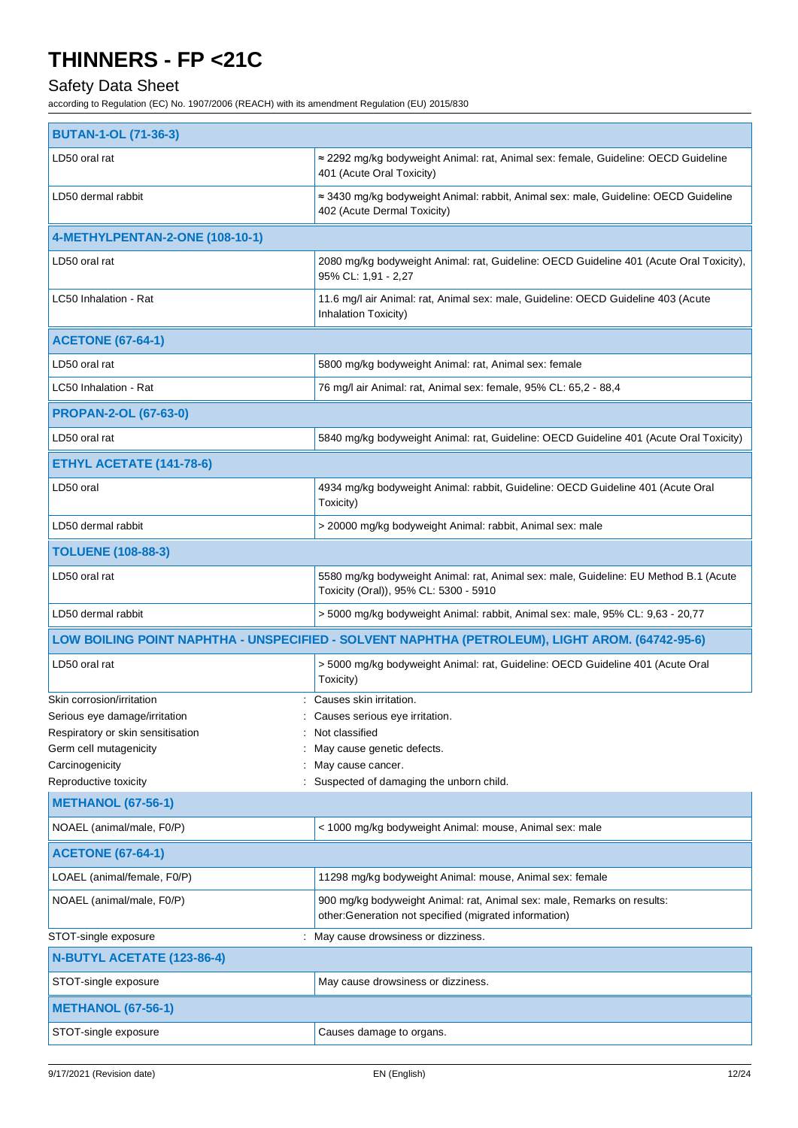## Safety Data Sheet

| <b>BUTAN-1-OL (71-36-3)</b>                                 |                                                                                                                                  |  |
|-------------------------------------------------------------|----------------------------------------------------------------------------------------------------------------------------------|--|
| LD50 oral rat                                               | ≈ 2292 mg/kg bodyweight Animal: rat, Animal sex: female, Guideline: OECD Guideline<br>401 (Acute Oral Toxicity)                  |  |
| LD50 dermal rabbit                                          | ≈ 3430 mg/kg bodyweight Animal: rabbit, Animal sex: male, Guideline: OECD Guideline<br>402 (Acute Dermal Toxicity)               |  |
| 4-METHYLPENTAN-2-ONE (108-10-1)                             |                                                                                                                                  |  |
| LD50 oral rat                                               | 2080 mg/kg bodyweight Animal: rat, Guideline: OECD Guideline 401 (Acute Oral Toxicity),<br>95% CL: 1,91 - 2,27                   |  |
| LC50 Inhalation - Rat                                       | 11.6 mg/l air Animal: rat, Animal sex: male, Guideline: OECD Guideline 403 (Acute<br>Inhalation Toxicity)                        |  |
| <b>ACETONE (67-64-1)</b>                                    |                                                                                                                                  |  |
| LD50 oral rat                                               | 5800 mg/kg bodyweight Animal: rat, Animal sex: female                                                                            |  |
| LC50 Inhalation - Rat                                       | 76 mg/l air Animal: rat, Animal sex: female, 95% CL: 65,2 - 88,4                                                                 |  |
| <b>PROPAN-2-OL (67-63-0)</b>                                |                                                                                                                                  |  |
| LD50 oral rat                                               | 5840 mg/kg bodyweight Animal: rat, Guideline: OECD Guideline 401 (Acute Oral Toxicity)                                           |  |
| ETHYL ACETATE (141-78-6)                                    |                                                                                                                                  |  |
| LD50 oral                                                   | 4934 mg/kg bodyweight Animal: rabbit, Guideline: OECD Guideline 401 (Acute Oral<br>Toxicity)                                     |  |
| LD50 dermal rabbit                                          | > 20000 mg/kg bodyweight Animal: rabbit, Animal sex: male                                                                        |  |
| <b>TOLUENE (108-88-3)</b>                                   |                                                                                                                                  |  |
| LD50 oral rat                                               | 5580 mg/kg bodyweight Animal: rat, Animal sex: male, Guideline: EU Method B.1 (Acute<br>Toxicity (Oral)), 95% CL: 5300 - 5910    |  |
| LD50 dermal rabbit                                          | > 5000 mg/kg bodyweight Animal: rabbit, Animal sex: male, 95% CL: 9,63 - 20,77                                                   |  |
|                                                             | LOW BOILING POINT NAPHTHA - UNSPECIFIED - SOLVENT NAPHTHA (PETROLEUM), LIGHT AROM. (64742-95-6)                                  |  |
| LD50 oral rat                                               | > 5000 mg/kg bodyweight Animal: rat, Guideline: OECD Guideline 401 (Acute Oral<br>Toxicity)                                      |  |
| Skin corrosion/irritation                                   | Causes skin irritation.                                                                                                          |  |
| Serious eye damage/irritation                               | Causes serious eye irritation.                                                                                                   |  |
| Respiratory or skin sensitisation<br>Germ cell mutagenicity | Not classified<br>May cause genetic defects.                                                                                     |  |
| Carcinogenicity                                             | May cause cancer.                                                                                                                |  |
| Reproductive toxicity                                       | : Suspected of damaging the unborn child.                                                                                        |  |
| <b>METHANOL (67-56-1)</b>                                   |                                                                                                                                  |  |
| NOAEL (animal/male, F0/P)                                   | < 1000 mg/kg bodyweight Animal: mouse, Animal sex: male                                                                          |  |
| <b>ACETONE (67-64-1)</b>                                    |                                                                                                                                  |  |
| LOAEL (animal/female, F0/P)                                 | 11298 mg/kg bodyweight Animal: mouse, Animal sex: female                                                                         |  |
| NOAEL (animal/male, F0/P)                                   | 900 mg/kg bodyweight Animal: rat, Animal sex: male, Remarks on results:<br>other:Generation not specified (migrated information) |  |
| STOT-single exposure                                        | May cause drowsiness or dizziness.                                                                                               |  |
| N-BUTYL ACETATE (123-86-4)                                  |                                                                                                                                  |  |
| STOT-single exposure                                        | May cause drowsiness or dizziness.                                                                                               |  |
| <b>METHANOL (67-56-1)</b>                                   |                                                                                                                                  |  |
| STOT-single exposure                                        | Causes damage to organs.                                                                                                         |  |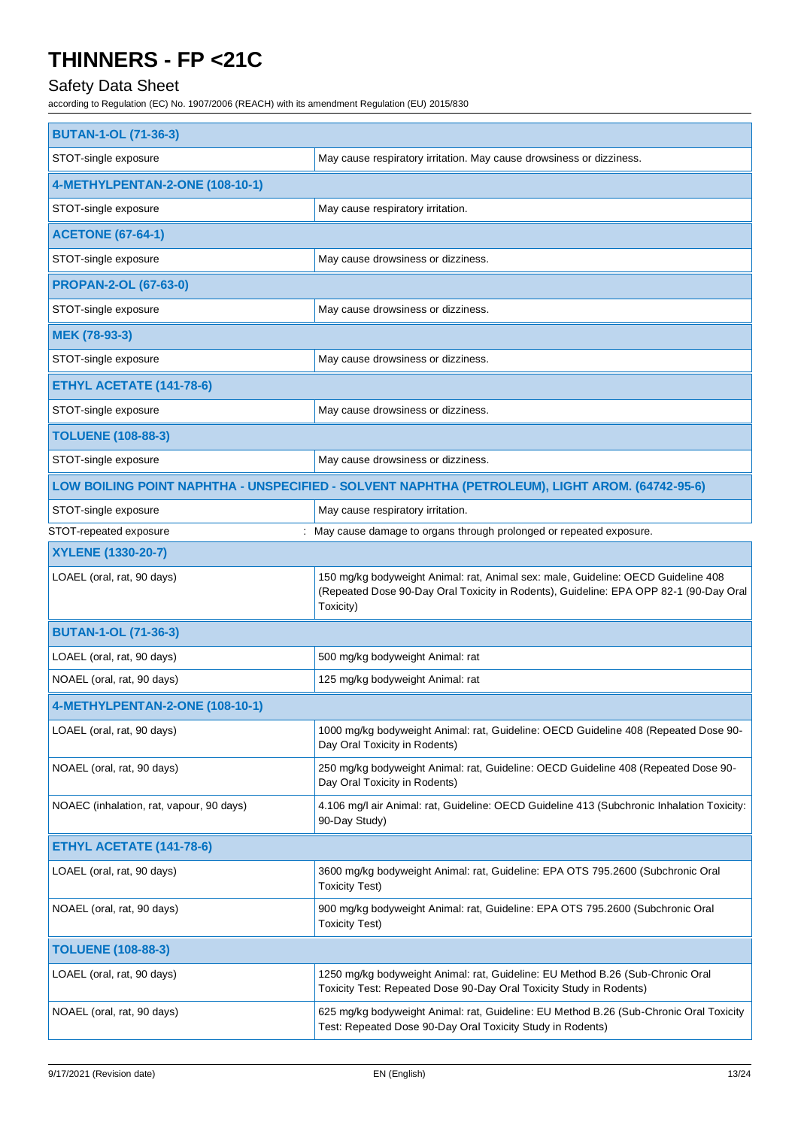## Safety Data Sheet

| <b>BUTAN-1-OL (71-36-3)</b>                                                                     |                                                                                                                                                                                         |  |
|-------------------------------------------------------------------------------------------------|-----------------------------------------------------------------------------------------------------------------------------------------------------------------------------------------|--|
| STOT-single exposure                                                                            | May cause respiratory irritation. May cause drowsiness or dizziness.                                                                                                                    |  |
| 4-METHYLPENTAN-2-ONE (108-10-1)                                                                 |                                                                                                                                                                                         |  |
| STOT-single exposure                                                                            | May cause respiratory irritation.                                                                                                                                                       |  |
| <b>ACETONE (67-64-1)</b>                                                                        |                                                                                                                                                                                         |  |
| STOT-single exposure                                                                            | May cause drowsiness or dizziness.                                                                                                                                                      |  |
| <b>PROPAN-2-OL (67-63-0)</b>                                                                    |                                                                                                                                                                                         |  |
| STOT-single exposure                                                                            | May cause drowsiness or dizziness.                                                                                                                                                      |  |
| MEK (78-93-3)                                                                                   |                                                                                                                                                                                         |  |
| STOT-single exposure                                                                            | May cause drowsiness or dizziness.                                                                                                                                                      |  |
| ETHYL ACETATE (141-78-6)                                                                        |                                                                                                                                                                                         |  |
| STOT-single exposure                                                                            | May cause drowsiness or dizziness.                                                                                                                                                      |  |
| <b>TOLUENE (108-88-3)</b>                                                                       |                                                                                                                                                                                         |  |
| STOT-single exposure                                                                            | May cause drowsiness or dizziness.                                                                                                                                                      |  |
| LOW BOILING POINT NAPHTHA - UNSPECIFIED - SOLVENT NAPHTHA (PETROLEUM), LIGHT AROM. (64742-95-6) |                                                                                                                                                                                         |  |
| STOT-single exposure                                                                            | May cause respiratory irritation.                                                                                                                                                       |  |
| STOT-repeated exposure                                                                          | May cause damage to organs through prolonged or repeated exposure.                                                                                                                      |  |
| XYLENE (1330-20-7)                                                                              |                                                                                                                                                                                         |  |
| LOAEL (oral, rat, 90 days)                                                                      | 150 mg/kg bodyweight Animal: rat, Animal sex: male, Guideline: OECD Guideline 408<br>(Repeated Dose 90-Day Oral Toxicity in Rodents), Guideline: EPA OPP 82-1 (90-Day Oral<br>Toxicity) |  |
| <b>BUTAN-1-OL (71-36-3)</b>                                                                     |                                                                                                                                                                                         |  |
| LOAEL (oral, rat, 90 days)                                                                      | 500 mg/kg bodyweight Animal: rat                                                                                                                                                        |  |
| NOAEL (oral, rat, 90 days)                                                                      | 125 mg/kg bodyweight Animal: rat                                                                                                                                                        |  |
| 4-METHYLPENTAN-2-ONE (108-10-1)                                                                 |                                                                                                                                                                                         |  |
| LOAEL (oral, rat, 90 days)                                                                      | 1000 mg/kg bodyweight Animal: rat, Guideline: OECD Guideline 408 (Repeated Dose 90-<br>Day Oral Toxicity in Rodents)                                                                    |  |
| NOAEL (oral, rat, 90 days)                                                                      | 250 mg/kg bodyweight Animal: rat, Guideline: OECD Guideline 408 (Repeated Dose 90-<br>Day Oral Toxicity in Rodents)                                                                     |  |
| NOAEC (inhalation, rat, vapour, 90 days)                                                        | 4.106 mg/l air Animal: rat, Guideline: OECD Guideline 413 (Subchronic Inhalation Toxicity:<br>90-Day Study)                                                                             |  |
| ETHYL ACETATE (141-78-6)                                                                        |                                                                                                                                                                                         |  |
| LOAEL (oral, rat, 90 days)                                                                      | 3600 mg/kg bodyweight Animal: rat, Guideline: EPA OTS 795.2600 (Subchronic Oral<br><b>Toxicity Test)</b>                                                                                |  |
| NOAEL (oral, rat, 90 days)                                                                      | 900 mg/kg bodyweight Animal: rat, Guideline: EPA OTS 795.2600 (Subchronic Oral<br><b>Toxicity Test)</b>                                                                                 |  |
| <b>TOLUENE (108-88-3)</b>                                                                       |                                                                                                                                                                                         |  |
| LOAEL (oral, rat, 90 days)                                                                      | 1250 mg/kg bodyweight Animal: rat, Guideline: EU Method B.26 (Sub-Chronic Oral<br>Toxicity Test: Repeated Dose 90-Day Oral Toxicity Study in Rodents)                                   |  |
| NOAEL (oral, rat, 90 days)                                                                      | 625 mg/kg bodyweight Animal: rat, Guideline: EU Method B.26 (Sub-Chronic Oral Toxicity<br>Test: Repeated Dose 90-Day Oral Toxicity Study in Rodents)                                    |  |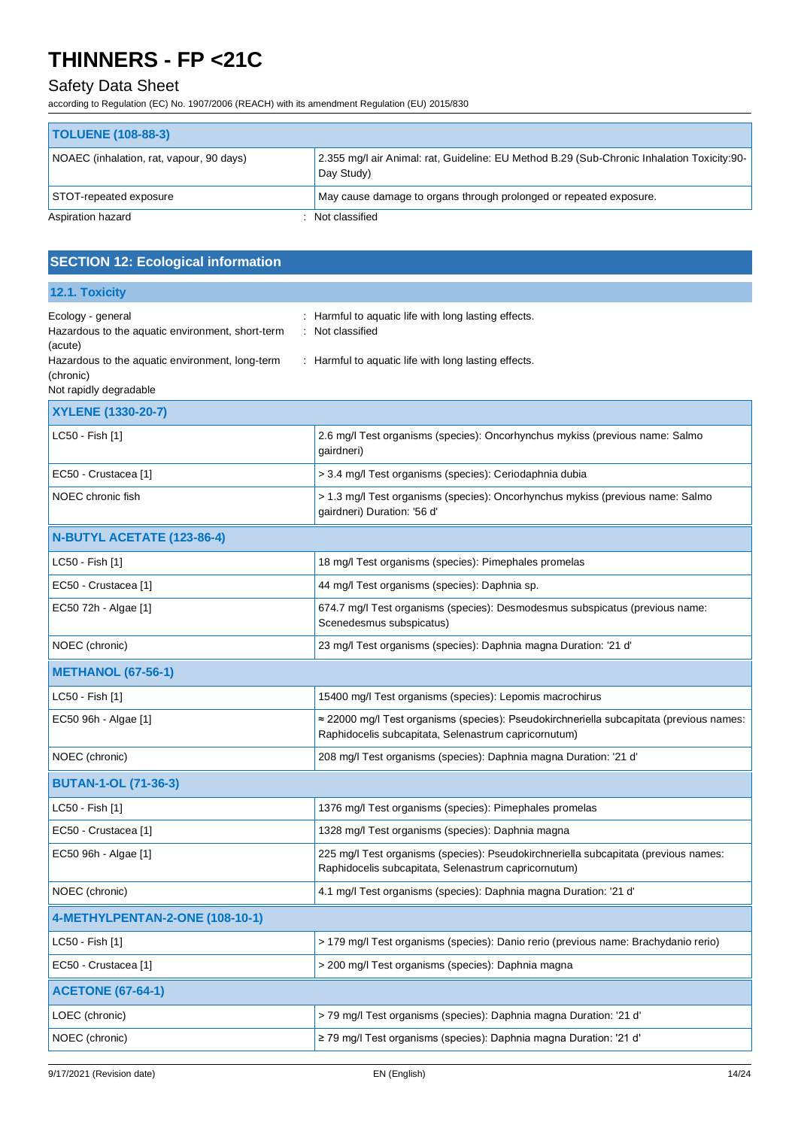## Safety Data Sheet

| <b>TOLUENE (108-88-3)</b>                |                                                                                                              |
|------------------------------------------|--------------------------------------------------------------------------------------------------------------|
| NOAEC (inhalation, rat, vapour, 90 days) | l 2.355 mg/l air Animal: rat, Guideline: EU Method B.29 (Sub-Chronic Inhalation Toxicity:90-  <br>Day Study) |
| STOT-repeated exposure                   | May cause damage to organs through prolonged or repeated exposure.                                           |
| Aspiration hazard                        | Not classified                                                                                               |

| <b>SECTION 12: Ecological information</b>                                                                                           |                                                                                                                                                 |
|-------------------------------------------------------------------------------------------------------------------------------------|-------------------------------------------------------------------------------------------------------------------------------------------------|
| 12.1. Toxicity                                                                                                                      |                                                                                                                                                 |
| Ecology - general<br>Hazardous to the aquatic environment, short-term<br>(acute)<br>Hazardous to the aquatic environment, long-term | : Harmful to aquatic life with long lasting effects.<br>Not classified<br>: Harmful to aquatic life with long lasting effects.                  |
| (chronic)<br>Not rapidly degradable                                                                                                 |                                                                                                                                                 |
| XYLENE (1330-20-7)                                                                                                                  |                                                                                                                                                 |
| LC50 - Fish [1]                                                                                                                     | 2.6 mg/l Test organisms (species): Oncorhynchus mykiss (previous name: Salmo<br>gairdneri)                                                      |
| EC50 - Crustacea [1]                                                                                                                | > 3.4 mg/l Test organisms (species): Ceriodaphnia dubia                                                                                         |
| NOEC chronic fish                                                                                                                   | > 1.3 mg/l Test organisms (species): Oncorhynchus mykiss (previous name: Salmo<br>gairdneri) Duration: '56 d'                                   |
| N-BUTYL ACETATE (123-86-4)                                                                                                          |                                                                                                                                                 |
| LC50 - Fish [1]                                                                                                                     | 18 mg/l Test organisms (species): Pimephales promelas                                                                                           |
| EC50 - Crustacea [1]                                                                                                                | 44 mg/l Test organisms (species): Daphnia sp.                                                                                                   |
| EC50 72h - Algae [1]                                                                                                                | 674.7 mg/l Test organisms (species): Desmodesmus subspicatus (previous name:<br>Scenedesmus subspicatus)                                        |
| NOEC (chronic)                                                                                                                      | 23 mg/l Test organisms (species): Daphnia magna Duration: '21 d'                                                                                |
| <b>METHANOL (67-56-1)</b>                                                                                                           |                                                                                                                                                 |
| LC50 - Fish [1]                                                                                                                     | 15400 mg/l Test organisms (species): Lepomis macrochirus                                                                                        |
| EC50 96h - Algae [1]                                                                                                                | ≈ 22000 mg/l Test organisms (species): Pseudokirchneriella subcapitata (previous names:<br>Raphidocelis subcapitata, Selenastrum capricornutum) |
| NOEC (chronic)                                                                                                                      | 208 mg/l Test organisms (species): Daphnia magna Duration: '21 d'                                                                               |
| <b>BUTAN-1-OL (71-36-3)</b>                                                                                                         |                                                                                                                                                 |
| LC50 - Fish [1]                                                                                                                     | 1376 mg/l Test organisms (species): Pimephales promelas                                                                                         |
| EC50 - Crustacea [1]                                                                                                                | 1328 mg/l Test organisms (species): Daphnia magna                                                                                               |
| EC50 96h - Algae [1]                                                                                                                | 225 mg/l Test organisms (species): Pseudokirchneriella subcapitata (previous names:<br>Raphidocelis subcapitata, Selenastrum capricornutum)     |
| NOEC (chronic)                                                                                                                      | 4.1 mg/l Test organisms (species): Daphnia magna Duration: '21 d'                                                                               |
| 4-METHYLPENTAN-2-ONE (108-10-1)                                                                                                     |                                                                                                                                                 |
| LC50 - Fish [1]                                                                                                                     | > 179 mg/l Test organisms (species): Danio rerio (previous name: Brachydanio rerio)                                                             |
| EC50 - Crustacea [1]                                                                                                                | > 200 mg/l Test organisms (species): Daphnia magna                                                                                              |
| <b>ACETONE (67-64-1)</b>                                                                                                            |                                                                                                                                                 |
| LOEC (chronic)                                                                                                                      | > 79 mg/l Test organisms (species): Daphnia magna Duration: '21 d'                                                                              |
| NOEC (chronic)                                                                                                                      | ≥ 79 mg/l Test organisms (species): Daphnia magna Duration: '21 d'                                                                              |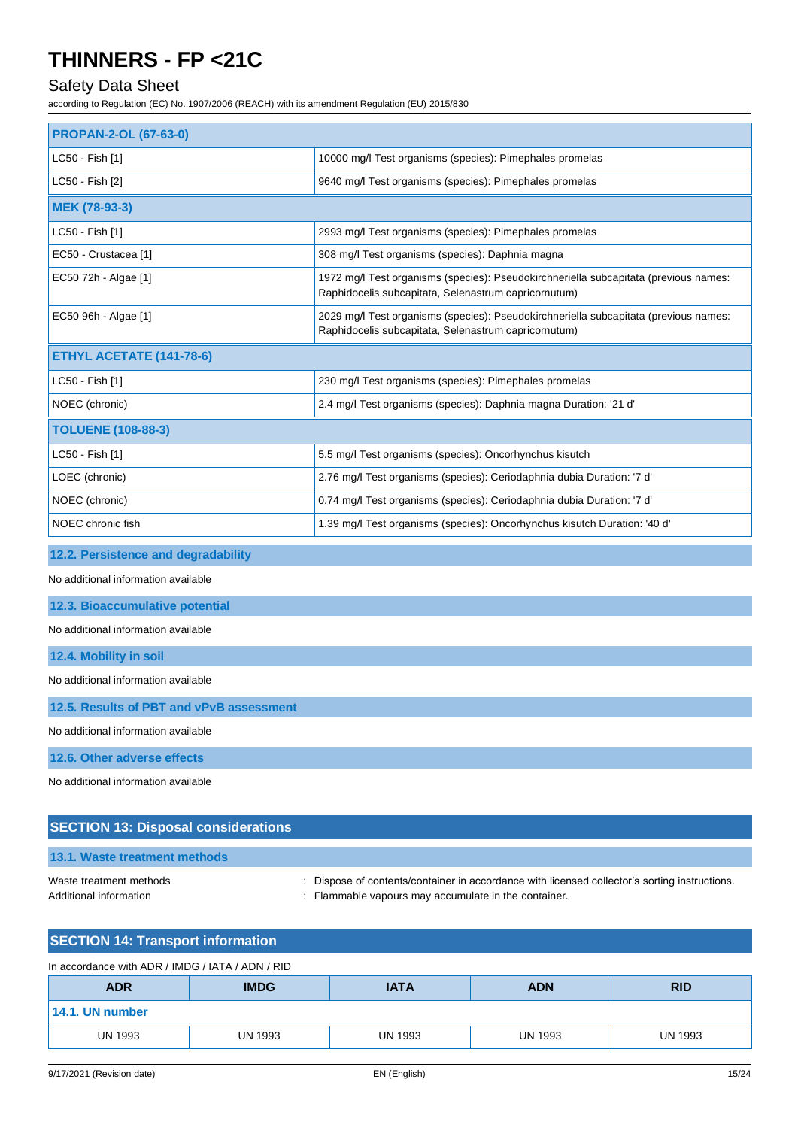### Safety Data Sheet

according to Regulation (EC) No. 1907/2006 (REACH) with its amendment Regulation (EU) 2015/830

| <b>PROPAN-2-OL (67-63-0)</b>    |                                                                                                                                              |
|---------------------------------|----------------------------------------------------------------------------------------------------------------------------------------------|
| LC50 - Fish [1]                 | 10000 mg/l Test organisms (species): Pimephales promelas                                                                                     |
| LC50 - Fish [2]                 | 9640 mg/l Test organisms (species): Pimephales promelas                                                                                      |
| MEK (78-93-3)                   |                                                                                                                                              |
| LC50 - Fish [1]                 | 2993 mg/l Test organisms (species): Pimephales promelas                                                                                      |
| EC50 - Crustacea [1]            | 308 mg/l Test organisms (species): Daphnia magna                                                                                             |
| EC50 72h - Algae [1]            | 1972 mg/l Test organisms (species): Pseudokirchneriella subcapitata (previous names:<br>Raphidocelis subcapitata, Selenastrum capricornutum) |
| EC50 96h - Algae [1]            | 2029 mg/l Test organisms (species): Pseudokirchneriella subcapitata (previous names:<br>Raphidocelis subcapitata, Selenastrum capricornutum) |
| <b>ETHYL ACETATE (141-78-6)</b> |                                                                                                                                              |
| LC50 - Fish [1]                 | 230 mg/l Test organisms (species): Pimephales promelas                                                                                       |
| NOEC (chronic)                  | 2.4 mg/l Test organisms (species): Daphnia magna Duration: '21 d'                                                                            |
| <b>TOLUENE (108-88-3)</b>       |                                                                                                                                              |
| LC50 - Fish [1]                 | 5.5 mg/l Test organisms (species): Oncorhynchus kisutch                                                                                      |
| LOEC (chronic)                  | 2.76 mg/l Test organisms (species): Ceriodaphnia dubia Duration: '7 d'                                                                       |
| NOEC (chronic)                  | 0.74 mg/l Test organisms (species): Ceriodaphnia dubia Duration: '7 d'                                                                       |
| NOEC chronic fish               | 1.39 mg/l Test organisms (species): Oncorhynchus kisutch Duration: '40 d'                                                                    |

### **12.2. Persistence and degradability**

No additional information available

#### **12.3. Bioaccumulative potential**

No additional information available

| 12.4. Mobility in soil |  |
|------------------------|--|
|                        |  |

No additional information available

**12.5. Results of PBT and vPvB assessment**

No additional information available

**12.6. Other adverse effects**

No additional information available

### **SECTION 13: Disposal considerations**

|  |  | 13.1. Waste treatment methods |
|--|--|-------------------------------|
|  |  |                               |

Waste treatment methods : Dispose of contents/container in accordance with licensed collector's sorting instructions. Additional information **interest in the container** : Flammable vapours may accumulate in the container.

### **SECTION 14: Transport information**

| In accordance with ADR / IMDG / IATA / ADN / RID |                |                |                |                |
|--------------------------------------------------|----------------|----------------|----------------|----------------|
| <b>ADR</b>                                       | <b>IMDG</b>    | <b>IATA</b>    | <b>ADN</b>     | <b>RID</b>     |
| 14.1. UN number                                  |                |                |                |                |
| <b>UN 1993</b>                                   | <b>UN 1993</b> | <b>UN 1993</b> | <b>UN 1993</b> | <b>UN 1993</b> |
|                                                  |                |                |                |                |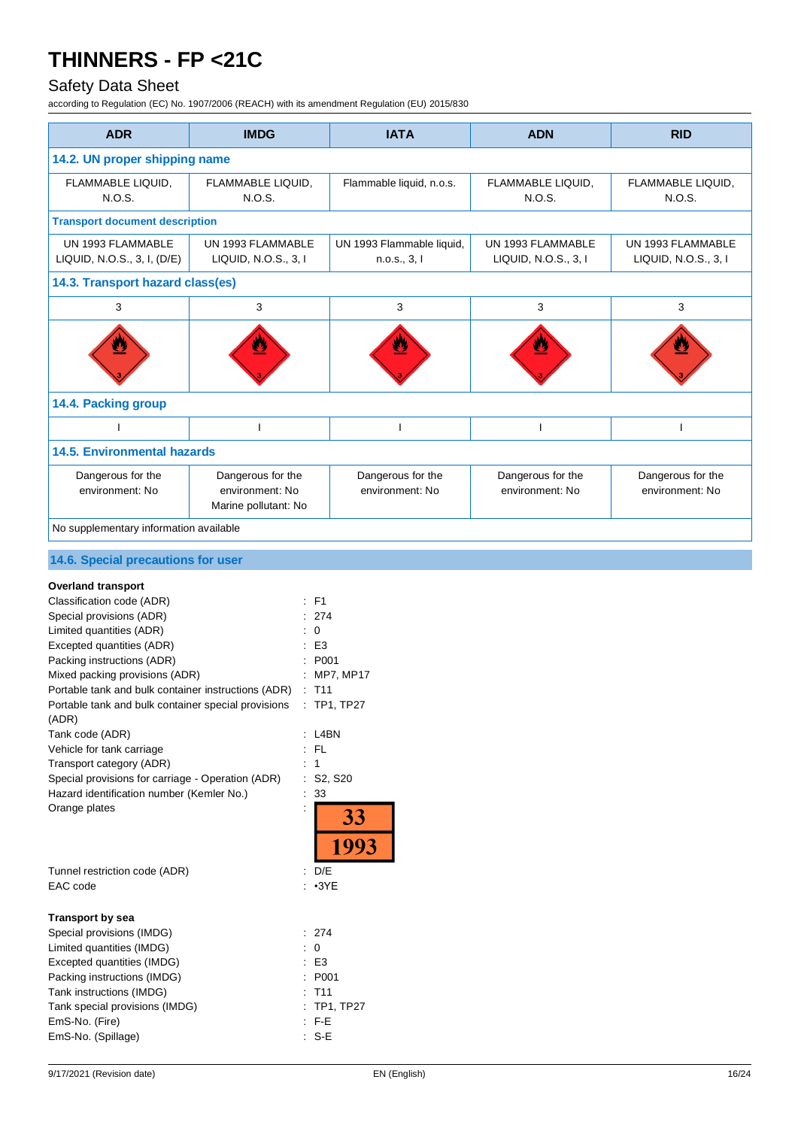## Safety Data Sheet

| <b>ADR</b>                                                                                                                                                                                                                                                                                                                                                                                                                                                                                                                                                                     | <b>IMDG</b>                                                       | <b>IATA</b>                                                                                                                    | <b>ADN</b>                                | <b>RID</b>                                |
|--------------------------------------------------------------------------------------------------------------------------------------------------------------------------------------------------------------------------------------------------------------------------------------------------------------------------------------------------------------------------------------------------------------------------------------------------------------------------------------------------------------------------------------------------------------------------------|-------------------------------------------------------------------|--------------------------------------------------------------------------------------------------------------------------------|-------------------------------------------|-------------------------------------------|
| 14.2. UN proper shipping name                                                                                                                                                                                                                                                                                                                                                                                                                                                                                                                                                  |                                                                   |                                                                                                                                |                                           |                                           |
| FLAMMABLE LIQUID,<br>N.O.S.                                                                                                                                                                                                                                                                                                                                                                                                                                                                                                                                                    | FLAMMABLE LIQUID,<br>N.O.S.                                       | Flammable liquid, n.o.s.                                                                                                       | FLAMMABLE LIQUID,<br>N.O.S.               | FLAMMABLE LIQUID,<br>N.O.S.               |
| <b>Transport document description</b>                                                                                                                                                                                                                                                                                                                                                                                                                                                                                                                                          |                                                                   |                                                                                                                                |                                           |                                           |
| UN 1993 FLAMMABLE<br>LIQUID, N.O.S., 3, I, (D/E)                                                                                                                                                                                                                                                                                                                                                                                                                                                                                                                               | UN 1993 FLAMMABLE<br>LIQUID, N.O.S., 3, I                         | UN 1993 Flammable liquid,<br>n.o.s., 3, l                                                                                      | UN 1993 FLAMMABLE<br>LIQUID, N.O.S., 3, I | UN 1993 FLAMMABLE<br>LIQUID, N.O.S., 3, I |
| 14.3. Transport hazard class(es)                                                                                                                                                                                                                                                                                                                                                                                                                                                                                                                                               |                                                                   |                                                                                                                                |                                           |                                           |
| 3                                                                                                                                                                                                                                                                                                                                                                                                                                                                                                                                                                              | 3                                                                 | 3                                                                                                                              | $\mathsf 3$                               | 3                                         |
|                                                                                                                                                                                                                                                                                                                                                                                                                                                                                                                                                                                |                                                                   |                                                                                                                                |                                           |                                           |
| 14.4. Packing group                                                                                                                                                                                                                                                                                                                                                                                                                                                                                                                                                            |                                                                   |                                                                                                                                |                                           |                                           |
|                                                                                                                                                                                                                                                                                                                                                                                                                                                                                                                                                                                | $\mathbf{I}$                                                      | $\overline{\phantom{a}}$                                                                                                       | $\overline{1}$                            | ı                                         |
| <b>14.5. Environmental hazards</b>                                                                                                                                                                                                                                                                                                                                                                                                                                                                                                                                             |                                                                   |                                                                                                                                |                                           |                                           |
| Dangerous for the<br>environment: No                                                                                                                                                                                                                                                                                                                                                                                                                                                                                                                                           | Dangerous for the<br>environment: No<br>Marine pollutant: No      | Dangerous for the<br>environment: No                                                                                           | Dangerous for the<br>environment: No      | Dangerous for the<br>environment: No      |
| No supplementary information available                                                                                                                                                                                                                                                                                                                                                                                                                                                                                                                                         |                                                                   |                                                                                                                                |                                           |                                           |
| 14.6. Special precautions for user                                                                                                                                                                                                                                                                                                                                                                                                                                                                                                                                             |                                                                   |                                                                                                                                |                                           |                                           |
| <b>Overland transport</b><br>Classification code (ADR)<br>Special provisions (ADR)<br>Limited quantities (ADR)<br>Excepted quantities (ADR)<br>Packing instructions (ADR)<br>Mixed packing provisions (ADR)<br>Portable tank and bulk container instructions (ADR)<br>Portable tank and bulk container special provisions<br>(ADR)<br>Tank code (ADR)<br>Vehicle for tank carriage<br>Transport category (ADR)<br>Special provisions for carriage - Operation (ADR)<br>Hazard identification number (Kemler No.)<br>Orange plates<br>Tunnel restriction code (ADR)<br>EAC code | $:$ F1<br>$\mathbf 0$<br>÷<br>$:$ FL<br>: 1<br>÷<br>: D/E         | 274<br>E <sub>3</sub><br>P001<br>: MP7, MP17<br>T11<br>: TP1, TP27<br>: L4BN<br>: S2, S20<br>33<br>33<br>1993<br>$: \cdot 3YE$ |                                           |                                           |
| <b>Transport by sea</b><br>Special provisions (IMDG)<br>Limited quantities (IMDG)<br>Excepted quantities (IMDG)<br>Packing instructions (IMDG)<br>Tank instructions (IMDG)<br>Tank special provisions (IMDG)<br>EmS-No. (Fire)<br>EmS-No. (Spillage)                                                                                                                                                                                                                                                                                                                           | ÷<br>$\overline{0}$<br>÷<br>$\therefore$ E3<br>$:$ F-E<br>$: S-E$ | 274<br>P001<br>T <sub>11</sub><br>TP1, TP27                                                                                    |                                           |                                           |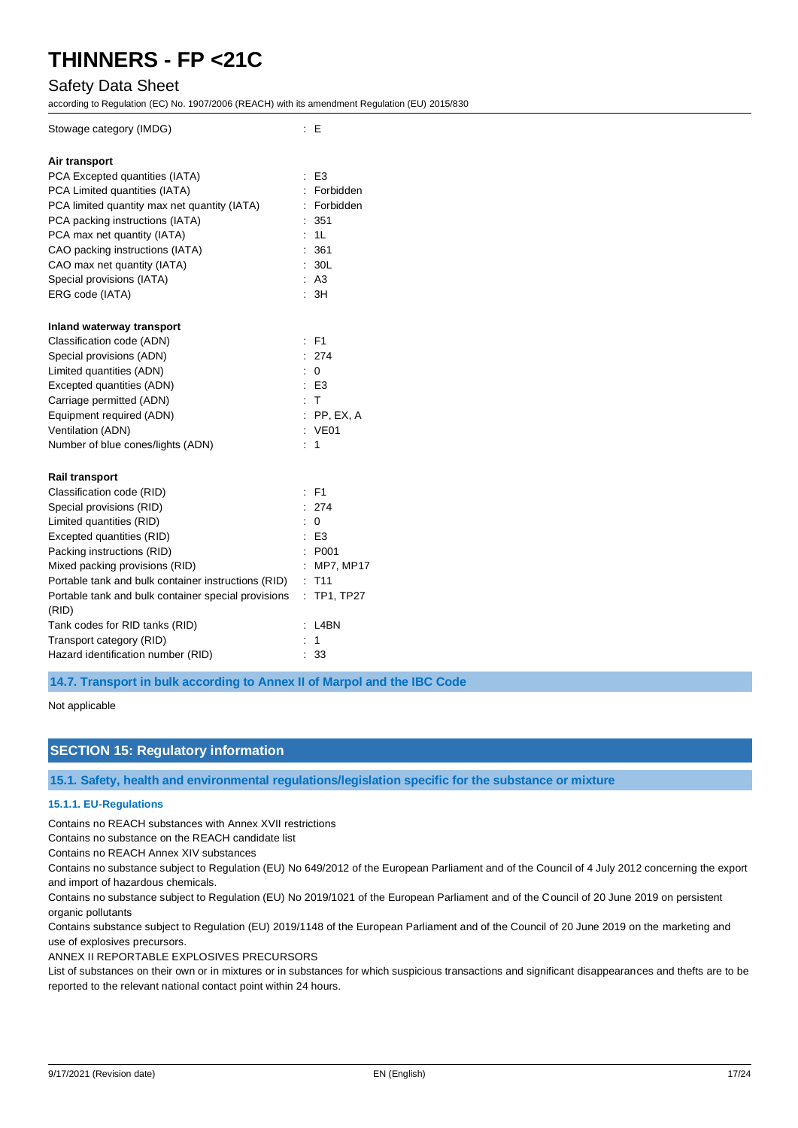### Safety Data Sheet

according to Regulation (EC) No. 1907/2006 (REACH) with its amendment Regulation (EU) 2015/830

| Stowage category (IMDG)                             | $\mathbf{E}$                   |
|-----------------------------------------------------|--------------------------------|
| Air transport                                       |                                |
| PCA Excepted quantities (IATA)                      | $\therefore$ E3                |
| PCA Limited quantities (IATA)                       | Forbidden                      |
| PCA limited quantity max net quantity (IATA)        | : Forbidden                    |
| PCA packing instructions (IATA)                     | 351                            |
| PCA max net quantity (IATA)                         | : 1L                           |
| CAO packing instructions (IATA)                     | 361                            |
| CAO max net quantity (IATA)                         | 30L                            |
| Special provisions (IATA)                           | : A3                           |
| ERG code (IATA)                                     | $\overline{\phantom{a}}$<br>3H |
|                                                     |                                |
| Inland waterway transport                           |                                |
| Classification code (ADN)                           | : F1                           |
| Special provisions (ADN)                            | : 274                          |
| Limited quantities (ADN)                            | ÷<br>$\Omega$                  |
| Excepted quantities (ADN)                           | $E$ E3                         |
| Carriage permitted (ADN)                            | : T                            |
| Equipment required (ADN)                            | $:$ PP, EX, A                  |
| Ventilation (ADN)                                   | : VE01                         |
| Number of blue cones/lights (ADN)                   | : 1                            |
|                                                     |                                |
| <b>Rail transport</b>                               |                                |
| Classification code (RID)                           | : F1                           |
| Special provisions (RID)                            | : 274                          |
| Limited quantities (RID)                            | $\mathbf 0$                    |
| Excepted quantities (RID)                           | $\therefore$ E3                |
| Packing instructions (RID)                          | P001                           |
| Mixed packing provisions (RID)                      | MP7, MP17                      |
| Portable tank and bulk container instructions (RID) | T <sub>11</sub>                |
| Portable tank and bulk container special provisions | TP1, TP27                      |
| (RID)                                               |                                |
| Tank codes for RID tanks (RID)                      | L4BN                           |
| Transport category (RID)                            | $\mathbf{1}$                   |
| Hazard identification number (RID)                  | 33                             |

**14.7. Transport in bulk according to Annex II of Marpol and the IBC Code**

Not applicable

#### **SECTION 15: Regulatory information**

**15.1. Safety, health and environmental regulations/legislation specific for the substance or mixture**

#### **15.1.1. EU-Regulations**

Contains no REACH substances with Annex XVII restrictions

Contains no substance on the REACH candidate list

Contains no REACH Annex XIV substances

Contains no substance subject to Regulation (EU) No 649/2012 of the European Parliament and of the Council of 4 July 2012 concerning the export and import of hazardous chemicals.

Contains no substance subject to Regulation (EU) No 2019/1021 of the European Parliament and of the Council of 20 June 2019 on persistent organic pollutants

Contains substance subject to Regulation (EU) 2019/1148 of the European Parliament and of the Council of 20 June 2019 on the marketing and use of explosives precursors.

ANNEX II REPORTABLE EXPLOSIVES PRECURSORS

List of substances on their own or in mixtures or in substances for which suspicious transactions and significant disappearances and thefts are to be reported to the relevant national contact point within 24 hours.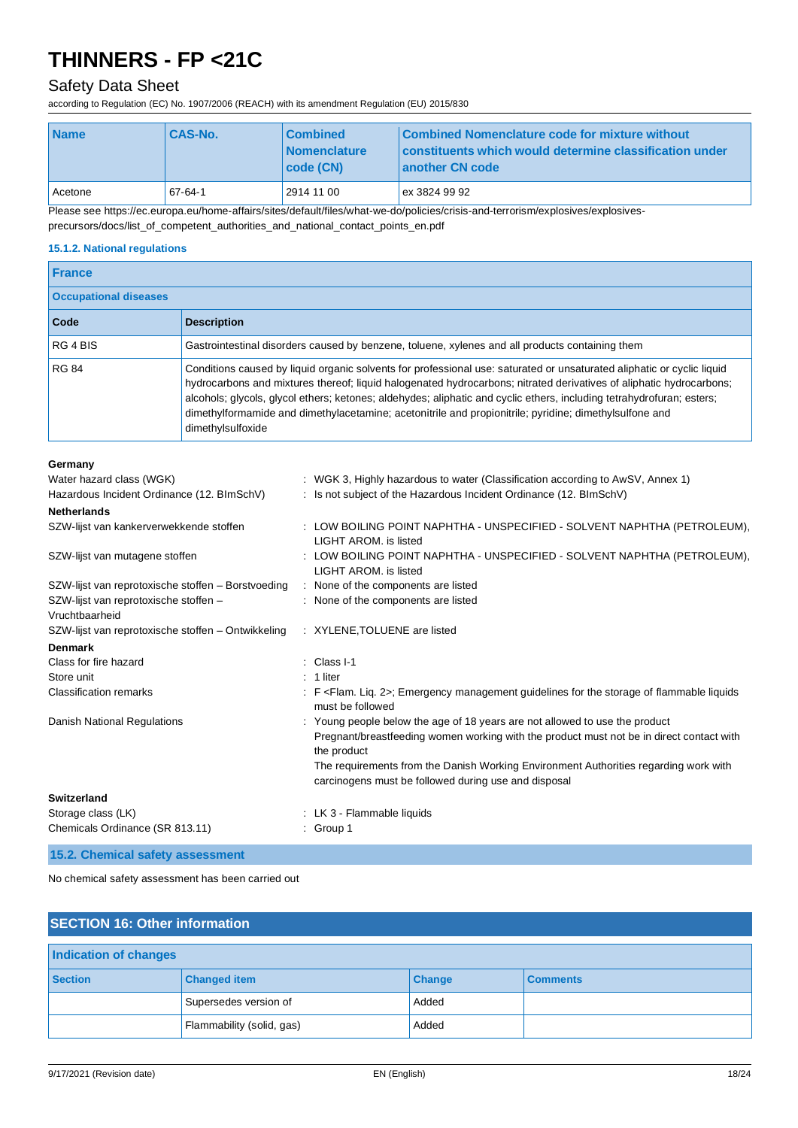### Safety Data Sheet

according to Regulation (EC) No. 1907/2006 (REACH) with its amendment Regulation (EU) 2015/830

| <b>Name</b> | <b>CAS-No.</b> | <b>Combined</b><br><b>Nomenclature</b><br>  code (CN) | Combined Nomenclature code for mixture without<br>constituents which would determine classification under<br>another CN code |
|-------------|----------------|-------------------------------------------------------|------------------------------------------------------------------------------------------------------------------------------|
| Acetone     | 67-64-1        | 2914 11 00                                            | ex 3824 99 92                                                                                                                |

Please see https://ec.europa.eu/home-affairs/sites/default/files/what-we-do/policies/crisis-and-terrorism/explosives/explosives-

precursors/docs/list\_of\_competent\_authorities\_and\_national\_contact\_points\_en.pdf

#### **15.1.2. National regulations**

| <b>France</b>                |                                                                                                                                                                                                                                                                                                                                                                                                                                                                                                       |  |
|------------------------------|-------------------------------------------------------------------------------------------------------------------------------------------------------------------------------------------------------------------------------------------------------------------------------------------------------------------------------------------------------------------------------------------------------------------------------------------------------------------------------------------------------|--|
| <b>Occupational diseases</b> |                                                                                                                                                                                                                                                                                                                                                                                                                                                                                                       |  |
| Code                         | <b>Description</b>                                                                                                                                                                                                                                                                                                                                                                                                                                                                                    |  |
| RG 4 BIS                     | Gastrointestinal disorders caused by benzene, toluene, xylenes and all products containing them                                                                                                                                                                                                                                                                                                                                                                                                       |  |
| <b>RG 84</b>                 | Conditions caused by liquid organic solvents for professional use: saturated or unsaturated aliphatic or cyclic liquid<br>hydrocarbons and mixtures thereof; liquid halogenated hydrocarbons; nitrated derivatives of aliphatic hydrocarbons;<br>alcohols; glycols, glycol ethers; ketones; aldehydes; aliphatic and cyclic ethers, including tetrahydrofuran; esters;<br>dimethylformamide and dimethylacetamine; acetonitrile and propionitrile; pyridine; dimethylsulfone and<br>dimethylsulfoxide |  |

#### **Germany**

| Water hazard class (WGK)<br>Hazardous Incident Ordinance (12. BImSchV) | : WGK 3, Highly hazardous to water (Classification according to AwSV, Annex 1)<br>: Is not subject of the Hazardous Incident Ordinance (12. BImSchV) |
|------------------------------------------------------------------------|------------------------------------------------------------------------------------------------------------------------------------------------------|
| <b>Netherlands</b>                                                     |                                                                                                                                                      |
| SZW-lijst van kankerverwekkende stoffen                                | : LOW BOILING POINT NAPHTHA - UNSPECIFIED - SOLVENT NAPHTHA (PETROLEUM),<br>LIGHT AROM, is listed                                                    |
| SZW-lijst van mutagene stoffen                                         | : LOW BOILING POINT NAPHTHA - UNSPECIFIED - SOLVENT NAPHTHA (PETROLEUM),<br><b>LIGHT AROM, is listed</b>                                             |
| SZW-lijst van reprotoxische stoffen – Borstvoeding                     | : None of the components are listed                                                                                                                  |
| SZW-lijst van reprotoxische stoffen -<br>Vruchtbaarheid                | : None of the components are listed                                                                                                                  |
| SZW-lijst van reprotoxische stoffen – Ontwikkeling                     | : XYLENE, TOLUENE are listed                                                                                                                         |
| <b>Denmark</b>                                                         |                                                                                                                                                      |
| Class for fire hazard                                                  | $\therefore$ Class I-1                                                                                                                               |
| Store unit                                                             | $: 1$ liter                                                                                                                                          |
| <b>Classification remarks</b>                                          | : F <flam. 2="" lig.="">; Emergency management guidelines for the storage of flammable liquids<br/>must be followed</flam.>                          |
| <b>Danish National Regulations</b>                                     | : Young people below the age of 18 years are not allowed to use the product                                                                          |
|                                                                        | Pregnant/breastfeeding women working with the product must not be in direct contact with<br>the product                                              |
|                                                                        | The requirements from the Danish Working Environment Authorities regarding work with<br>carcinogens must be followed during use and disposal         |
| <b>Switzerland</b>                                                     |                                                                                                                                                      |
| Storage class (LK)                                                     | : LK 3 - Flammable liquids                                                                                                                           |
| Chemicals Ordinance (SR 813.11)                                        | $:$ Group 1                                                                                                                                          |
| 15.2. Chemical safety assessment                                       |                                                                                                                                                      |

No chemical safety assessment has been carried out

| <b>SECTION 16: Other information</b> |                           |               |                 |  |
|--------------------------------------|---------------------------|---------------|-----------------|--|
| <b>Indication of changes</b>         |                           |               |                 |  |
| <b>Section</b>                       | <b>Changed item</b>       | <b>Change</b> | <b>Comments</b> |  |
|                                      | Supersedes version of     | Added         |                 |  |
|                                      | Flammability (solid, gas) | Added         |                 |  |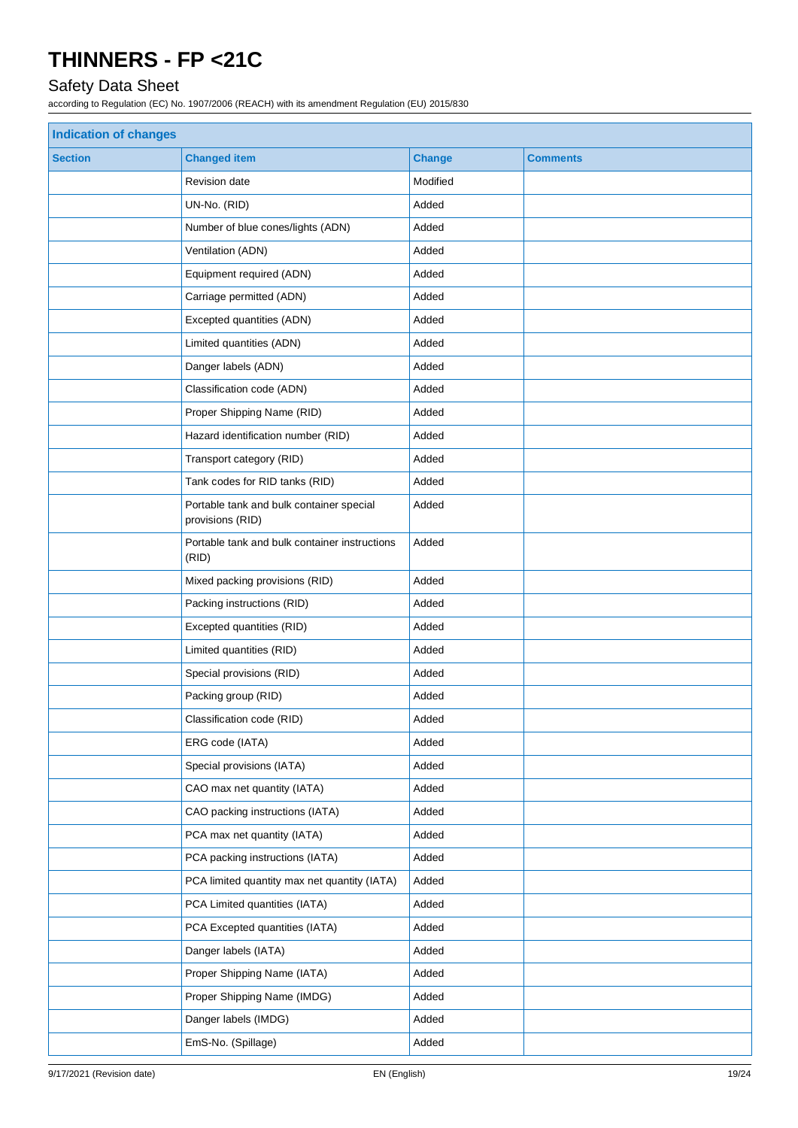## Safety Data Sheet

| Indication of changes |                                                              |               |                 |  |
|-----------------------|--------------------------------------------------------------|---------------|-----------------|--|
| <b>Section</b>        | <b>Changed item</b>                                          | <b>Change</b> | <b>Comments</b> |  |
|                       | <b>Revision date</b>                                         | Modified      |                 |  |
|                       | UN-No. (RID)                                                 | Added         |                 |  |
|                       | Number of blue cones/lights (ADN)                            | Added         |                 |  |
|                       | Ventilation (ADN)                                            | Added         |                 |  |
|                       | Equipment required (ADN)                                     | Added         |                 |  |
|                       | Carriage permitted (ADN)                                     | Added         |                 |  |
|                       | Excepted quantities (ADN)                                    | Added         |                 |  |
|                       | Limited quantities (ADN)                                     | Added         |                 |  |
|                       | Danger labels (ADN)                                          | Added         |                 |  |
|                       | Classification code (ADN)                                    | Added         |                 |  |
|                       | Proper Shipping Name (RID)                                   | Added         |                 |  |
|                       | Hazard identification number (RID)                           | Added         |                 |  |
|                       | Transport category (RID)                                     | Added         |                 |  |
|                       | Tank codes for RID tanks (RID)                               | Added         |                 |  |
|                       | Portable tank and bulk container special<br>provisions (RID) | Added         |                 |  |
|                       | Portable tank and bulk container instructions<br>(RID)       | Added         |                 |  |
|                       | Mixed packing provisions (RID)                               | Added         |                 |  |
|                       | Packing instructions (RID)                                   | Added         |                 |  |
|                       | Excepted quantities (RID)                                    | Added         |                 |  |
|                       | Limited quantities (RID)                                     | Added         |                 |  |
|                       | Special provisions (RID)                                     | Added         |                 |  |
|                       | Packing group (RID)                                          | Added         |                 |  |
|                       | Classification code (RID)                                    | Added         |                 |  |
|                       | ERG code (IATA)                                              | Added         |                 |  |
|                       | Special provisions (IATA)                                    | Added         |                 |  |
|                       | CAO max net quantity (IATA)                                  | Added         |                 |  |
|                       | CAO packing instructions (IATA)                              | Added         |                 |  |
|                       | PCA max net quantity (IATA)                                  | Added         |                 |  |
|                       | PCA packing instructions (IATA)                              | Added         |                 |  |
|                       | PCA limited quantity max net quantity (IATA)                 | Added         |                 |  |
|                       | PCA Limited quantities (IATA)                                | Added         |                 |  |
|                       | PCA Excepted quantities (IATA)                               | Added         |                 |  |
|                       | Danger labels (IATA)                                         | Added         |                 |  |
|                       | Proper Shipping Name (IATA)                                  | Added         |                 |  |
|                       | Proper Shipping Name (IMDG)                                  | Added         |                 |  |
|                       | Danger labels (IMDG)                                         | Added         |                 |  |
|                       | EmS-No. (Spillage)                                           | Added         |                 |  |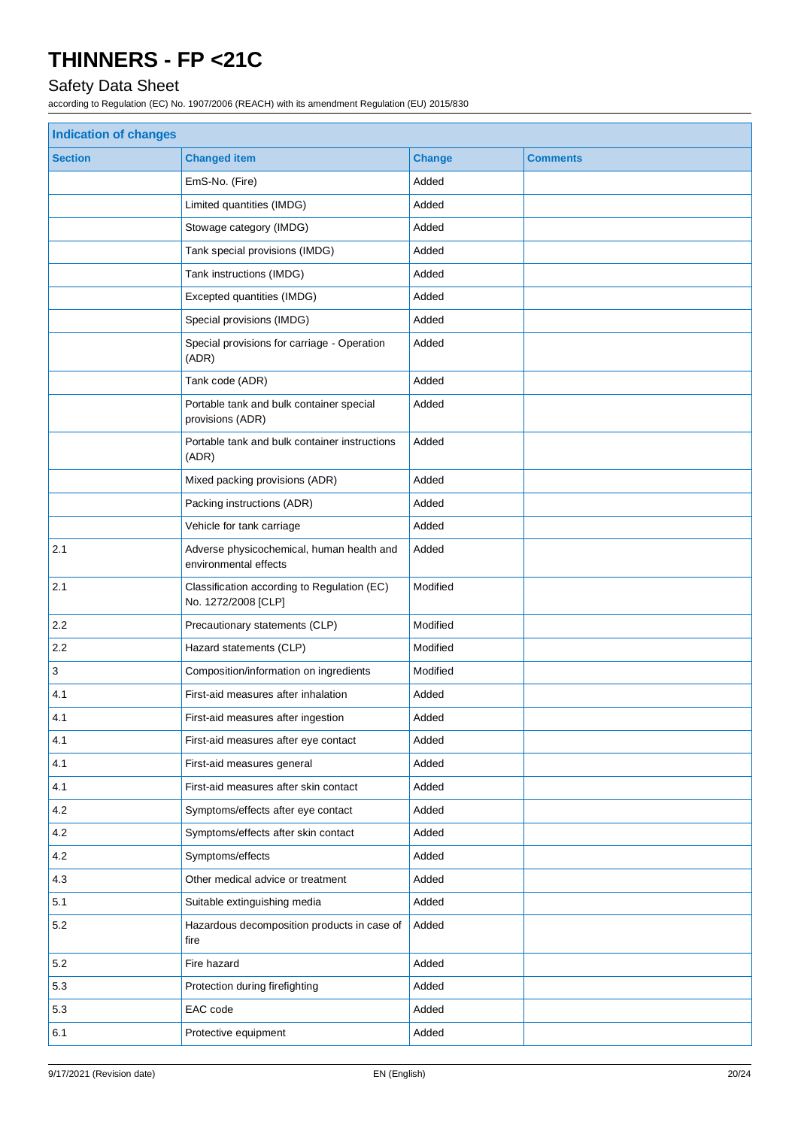## Safety Data Sheet

| <b>Indication of changes</b> |                                                                    |               |                 |  |
|------------------------------|--------------------------------------------------------------------|---------------|-----------------|--|
| <b>Section</b>               | <b>Changed item</b>                                                | <b>Change</b> | <b>Comments</b> |  |
|                              | EmS-No. (Fire)                                                     | Added         |                 |  |
|                              | Limited quantities (IMDG)                                          | Added         |                 |  |
|                              | Stowage category (IMDG)                                            | Added         |                 |  |
|                              | Tank special provisions (IMDG)                                     | Added         |                 |  |
|                              | Tank instructions (IMDG)                                           | Added         |                 |  |
|                              | Excepted quantities (IMDG)                                         | Added         |                 |  |
|                              | Special provisions (IMDG)                                          | Added         |                 |  |
|                              | Special provisions for carriage - Operation<br>(ADR)               | Added         |                 |  |
|                              | Tank code (ADR)                                                    | Added         |                 |  |
|                              | Portable tank and bulk container special<br>provisions (ADR)       | Added         |                 |  |
|                              | Portable tank and bulk container instructions<br>(ADR)             | Added         |                 |  |
|                              | Mixed packing provisions (ADR)                                     | Added         |                 |  |
|                              | Packing instructions (ADR)                                         | Added         |                 |  |
|                              | Vehicle for tank carriage                                          | Added         |                 |  |
| 2.1                          | Adverse physicochemical, human health and<br>environmental effects | Added         |                 |  |
| 2.1                          | Classification according to Regulation (EC)<br>No. 1272/2008 [CLP] | Modified      |                 |  |
| 2.2                          | Precautionary statements (CLP)                                     | Modified      |                 |  |
| 2.2                          | Hazard statements (CLP)                                            | Modified      |                 |  |
| $\mathsf 3$                  | Composition/information on ingredients                             | Modified      |                 |  |
| 4.1                          | First-aid measures after inhalation                                | Added         |                 |  |
| 4.1                          | First-aid measures after ingestion                                 | Added         |                 |  |
| 4.1                          | First-aid measures after eye contact                               | Added         |                 |  |
| 4.1                          | First-aid measures general                                         | Added         |                 |  |
| 4.1                          | First-aid measures after skin contact                              | Added         |                 |  |
| 4.2                          | Symptoms/effects after eye contact                                 | Added         |                 |  |
| 4.2                          | Symptoms/effects after skin contact                                | Added         |                 |  |
| 4.2                          | Symptoms/effects                                                   | Added         |                 |  |
| 4.3                          | Other medical advice or treatment                                  | Added         |                 |  |
| 5.1                          | Suitable extinguishing media                                       | Added         |                 |  |
| 5.2                          | Hazardous decomposition products in case of<br>fire                | Added         |                 |  |
| 5.2                          | Fire hazard                                                        | Added         |                 |  |
| 5.3                          | Protection during firefighting                                     | Added         |                 |  |
| 5.3                          | EAC code                                                           | Added         |                 |  |
| 6.1                          | Protective equipment                                               | Added         |                 |  |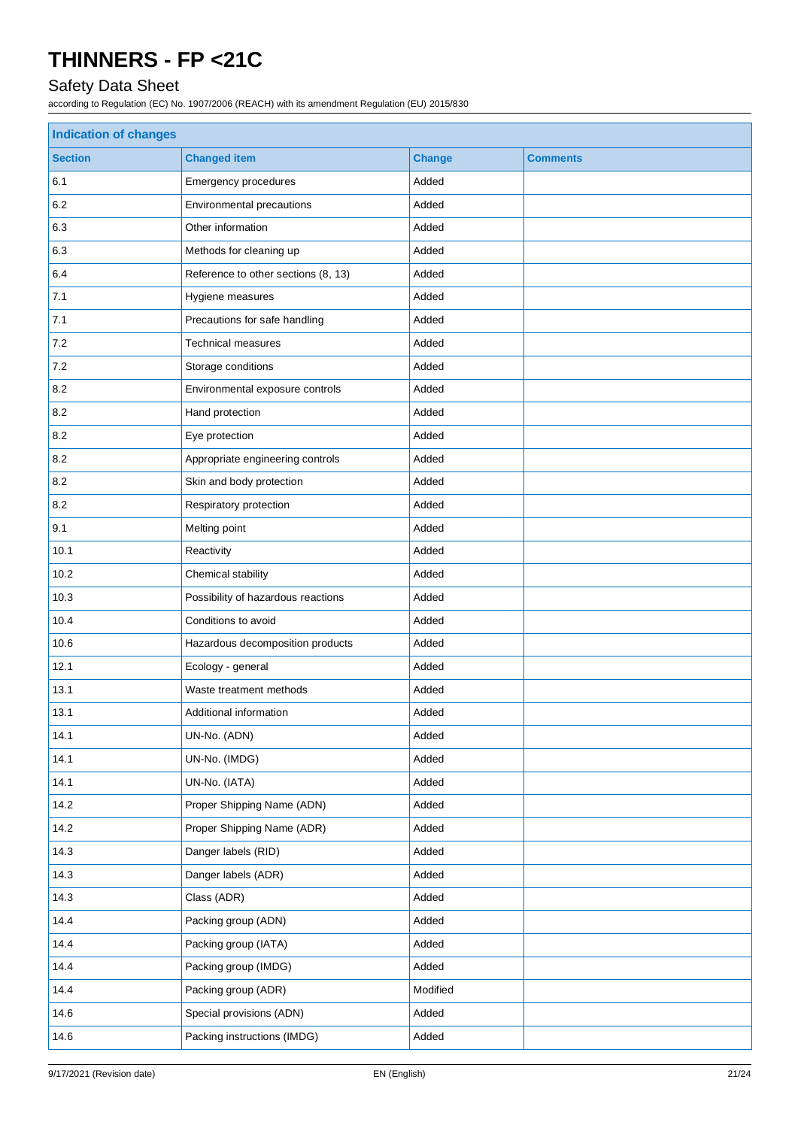## Safety Data Sheet

| <b>Indication of changes</b> |                                     |               |                 |
|------------------------------|-------------------------------------|---------------|-----------------|
| <b>Section</b>               | <b>Changed item</b>                 | <b>Change</b> | <b>Comments</b> |
| 6.1                          | Emergency procedures                | Added         |                 |
| 6.2                          | Environmental precautions           | Added         |                 |
| 6.3                          | Other information                   | Added         |                 |
| 6.3                          | Methods for cleaning up             | Added         |                 |
| 6.4                          | Reference to other sections (8, 13) | Added         |                 |
| 7.1                          | Hygiene measures                    | Added         |                 |
| 7.1                          | Precautions for safe handling       | Added         |                 |
| $7.2\,$                      | <b>Technical measures</b>           | Added         |                 |
| 7.2                          | Storage conditions                  | Added         |                 |
| 8.2                          | Environmental exposure controls     | Added         |                 |
| 8.2                          | Hand protection                     | Added         |                 |
| 8.2                          | Eye protection                      | Added         |                 |
| 8.2                          | Appropriate engineering controls    | Added         |                 |
| 8.2                          | Skin and body protection            | Added         |                 |
| 8.2                          | Respiratory protection              | Added         |                 |
| 9.1                          | Melting point                       | Added         |                 |
| 10.1                         | Reactivity                          | Added         |                 |
| 10.2                         | Chemical stability                  | Added         |                 |
| 10.3                         | Possibility of hazardous reactions  | Added         |                 |
| 10.4                         | Conditions to avoid                 | Added         |                 |
| 10.6                         | Hazardous decomposition products    | Added         |                 |
| 12.1                         | Ecology - general                   | Added         |                 |
| 13.1                         | Waste treatment methods             | Added         |                 |
| 13.1                         | Additional information              | Added         |                 |
| 14.1                         | UN-No. (ADN)                        | Added         |                 |
| 14.1                         | UN-No. (IMDG)                       | Added         |                 |
| 14.1                         | UN-No. (IATA)                       | Added         |                 |
| 14.2                         | Proper Shipping Name (ADN)          | Added         |                 |
| 14.2                         | Proper Shipping Name (ADR)          | Added         |                 |
| 14.3                         | Danger labels (RID)                 | Added         |                 |
| 14.3                         | Danger labels (ADR)                 | Added         |                 |
| 14.3                         | Class (ADR)                         | Added         |                 |
| 14.4                         | Packing group (ADN)                 | Added         |                 |
| 14.4                         | Packing group (IATA)                | Added         |                 |
| 14.4                         | Packing group (IMDG)                | Added         |                 |
| 14.4                         | Packing group (ADR)                 | Modified      |                 |
| 14.6                         | Special provisions (ADN)            | Added         |                 |
| 14.6                         | Packing instructions (IMDG)         | Added         |                 |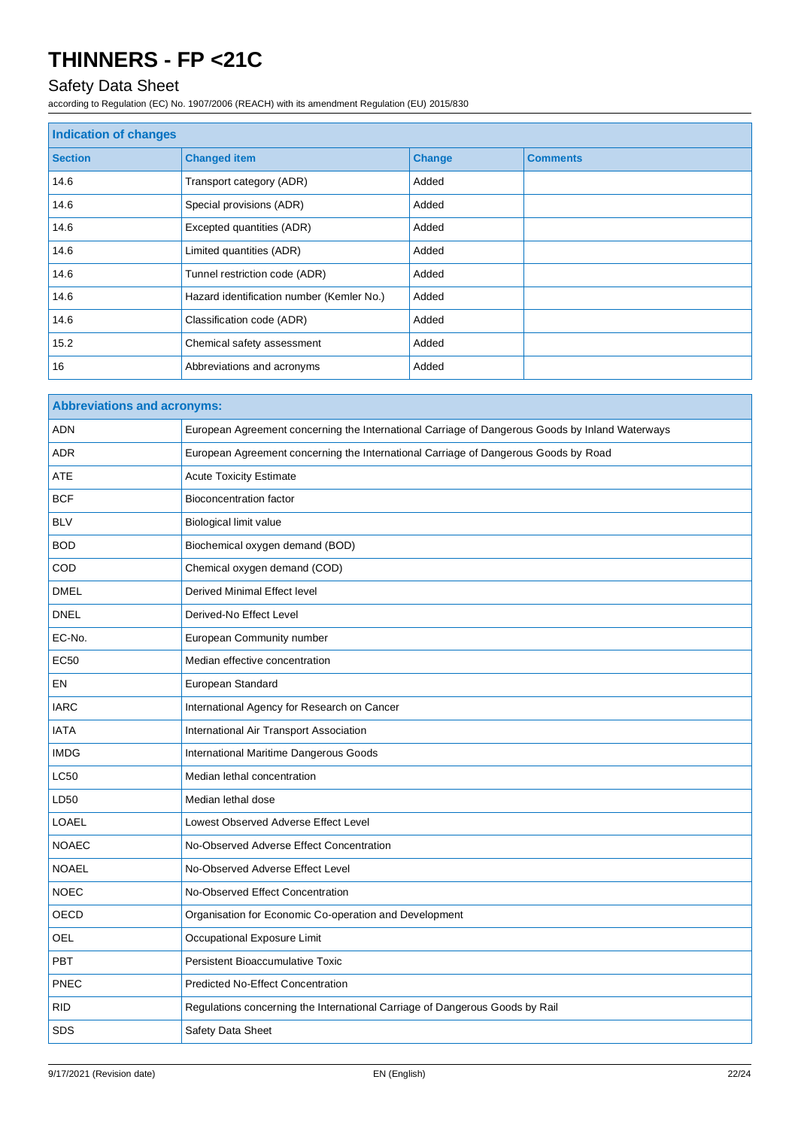## Safety Data Sheet

| Indication of changes |                                           |               |                 |
|-----------------------|-------------------------------------------|---------------|-----------------|
| <b>Section</b>        | <b>Changed item</b>                       | <b>Change</b> | <b>Comments</b> |
| 14.6                  | Transport category (ADR)                  | Added         |                 |
| 14.6                  | Special provisions (ADR)                  | Added         |                 |
| 14.6                  | Excepted quantities (ADR)                 | Added         |                 |
| 14.6                  | Limited quantities (ADR)                  | Added         |                 |
| 14.6                  | Tunnel restriction code (ADR)             | Added         |                 |
| 14.6                  | Hazard identification number (Kemler No.) | Added         |                 |
| 14.6                  | Classification code (ADR)                 | Added         |                 |
| 15.2                  | Chemical safety assessment                | Added         |                 |
| 16                    | Abbreviations and acronyms                | Added         |                 |

| <b>Abbreviations and acronyms:</b> |                                                                                                 |  |
|------------------------------------|-------------------------------------------------------------------------------------------------|--|
| <b>ADN</b>                         | European Agreement concerning the International Carriage of Dangerous Goods by Inland Waterways |  |
| <b>ADR</b>                         | European Agreement concerning the International Carriage of Dangerous Goods by Road             |  |
| ATE                                | <b>Acute Toxicity Estimate</b>                                                                  |  |
| <b>BCF</b>                         | <b>Bioconcentration factor</b>                                                                  |  |
| <b>BLV</b>                         | Biological limit value                                                                          |  |
| <b>BOD</b>                         | Biochemical oxygen demand (BOD)                                                                 |  |
| COD                                | Chemical oxygen demand (COD)                                                                    |  |
| <b>DMEL</b>                        | Derived Minimal Effect level                                                                    |  |
| <b>DNEL</b>                        | Derived-No Effect Level                                                                         |  |
| EC-No.                             | European Community number                                                                       |  |
| <b>EC50</b>                        | Median effective concentration                                                                  |  |
| EN                                 | European Standard                                                                               |  |
| <b>IARC</b>                        | International Agency for Research on Cancer                                                     |  |
| <b>IATA</b>                        | International Air Transport Association                                                         |  |
| <b>IMDG</b>                        | International Maritime Dangerous Goods                                                          |  |
| <b>LC50</b>                        | Median lethal concentration                                                                     |  |
| LD50                               | Median lethal dose                                                                              |  |
| <b>LOAEL</b>                       | Lowest Observed Adverse Effect Level                                                            |  |
| <b>NOAEC</b>                       | No-Observed Adverse Effect Concentration                                                        |  |
| <b>NOAEL</b>                       | No-Observed Adverse Effect Level                                                                |  |
| <b>NOEC</b>                        | No-Observed Effect Concentration                                                                |  |
| OECD                               | Organisation for Economic Co-operation and Development                                          |  |
| OEL                                | Occupational Exposure Limit                                                                     |  |
| <b>PBT</b>                         | <b>Persistent Bioaccumulative Toxic</b>                                                         |  |
| <b>PNEC</b>                        | <b>Predicted No-Effect Concentration</b>                                                        |  |
| <b>RID</b>                         | Regulations concerning the International Carriage of Dangerous Goods by Rail                    |  |
| <b>SDS</b>                         | Safety Data Sheet                                                                               |  |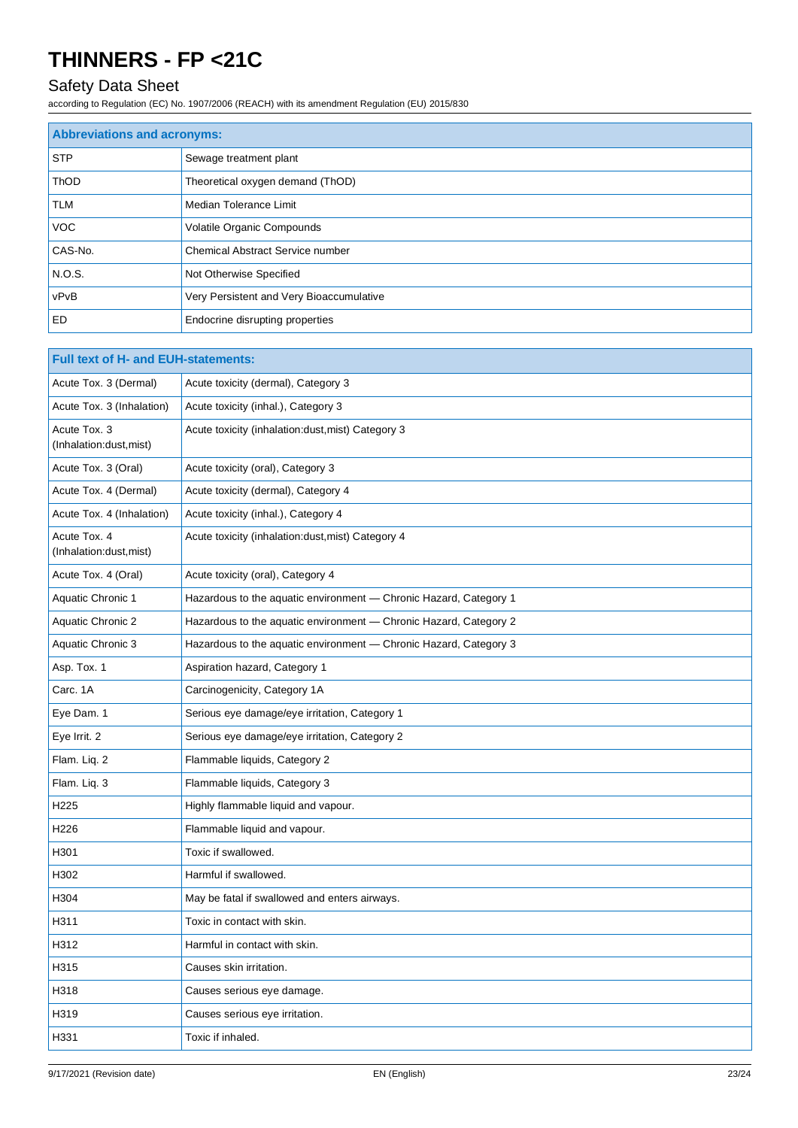## Safety Data Sheet

| <b>Abbreviations and acronyms:</b> |                                          |
|------------------------------------|------------------------------------------|
| <b>STP</b>                         | Sewage treatment plant                   |
| <b>ThOD</b>                        | Theoretical oxygen demand (ThOD)         |
| <b>TLM</b>                         | Median Tolerance Limit                   |
| <b>VOC</b>                         | Volatile Organic Compounds               |
| CAS-No.                            | <b>Chemical Abstract Service number</b>  |
| N.O.S.                             | Not Otherwise Specified                  |
| vPvB                               | Very Persistent and Very Bioaccumulative |
| <b>ED</b>                          | Endocrine disrupting properties          |

| <b>Full text of H- and EUH-statements:</b> |                                                                   |  |
|--------------------------------------------|-------------------------------------------------------------------|--|
| Acute Tox. 3 (Dermal)                      | Acute toxicity (dermal), Category 3                               |  |
| Acute Tox. 3 (Inhalation)                  | Acute toxicity (inhal.), Category 3                               |  |
| Acute Tox. 3<br>(Inhalation:dust, mist)    | Acute toxicity (inhalation:dust, mist) Category 3                 |  |
| Acute Tox. 3 (Oral)                        | Acute toxicity (oral), Category 3                                 |  |
| Acute Tox. 4 (Dermal)                      | Acute toxicity (dermal), Category 4                               |  |
| Acute Tox. 4 (Inhalation)                  | Acute toxicity (inhal.), Category 4                               |  |
| Acute Tox. 4<br>(Inhalation:dust, mist)    | Acute toxicity (inhalation: dust, mist) Category 4                |  |
| Acute Tox. 4 (Oral)                        | Acute toxicity (oral), Category 4                                 |  |
| <b>Aquatic Chronic 1</b>                   | Hazardous to the aquatic environment - Chronic Hazard, Category 1 |  |
| <b>Aquatic Chronic 2</b>                   | Hazardous to the aquatic environment - Chronic Hazard, Category 2 |  |
| Aquatic Chronic 3                          | Hazardous to the aquatic environment - Chronic Hazard, Category 3 |  |
| Asp. Tox. 1                                | Aspiration hazard, Category 1                                     |  |
| Carc. 1A                                   | Carcinogenicity, Category 1A                                      |  |
| Eye Dam. 1                                 | Serious eye damage/eye irritation, Category 1                     |  |
| Eye Irrit. 2                               | Serious eye damage/eye irritation, Category 2                     |  |
| Flam. Lig. 2                               | Flammable liquids, Category 2                                     |  |
| Flam. Liq. 3                               | Flammable liquids, Category 3                                     |  |
| H225                                       | Highly flammable liquid and vapour.                               |  |
| H226                                       | Flammable liquid and vapour.                                      |  |
| H301                                       | Toxic if swallowed.                                               |  |
| H302                                       | Harmful if swallowed.                                             |  |
| H304                                       | May be fatal if swallowed and enters airways.                     |  |
| H311                                       | Toxic in contact with skin.                                       |  |
| H312                                       | Harmful in contact with skin.                                     |  |
| H315                                       | Causes skin irritation.                                           |  |
| H318                                       | Causes serious eye damage.                                        |  |
| H319                                       | Causes serious eye irritation.                                    |  |
| H331                                       | Toxic if inhaled.                                                 |  |